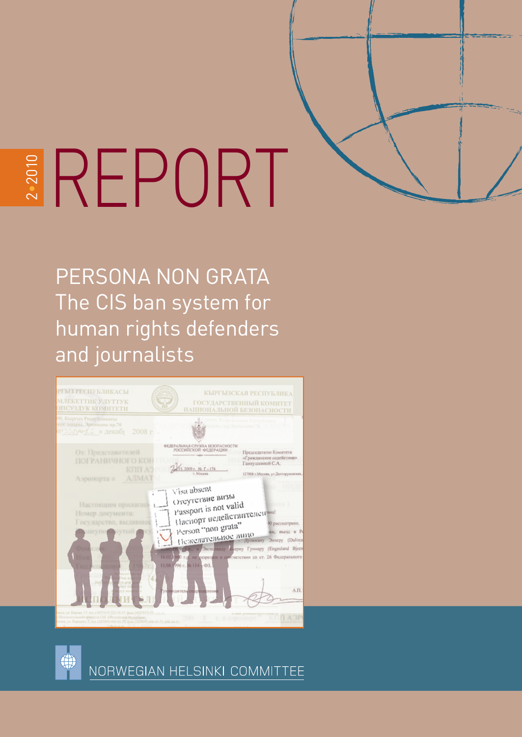

# $\sim$ EREPORT

PERSONA NON GRATA The CIS ban system for human rights defenders and journalists





NORWEGIAN HELSINKI COMMITTEE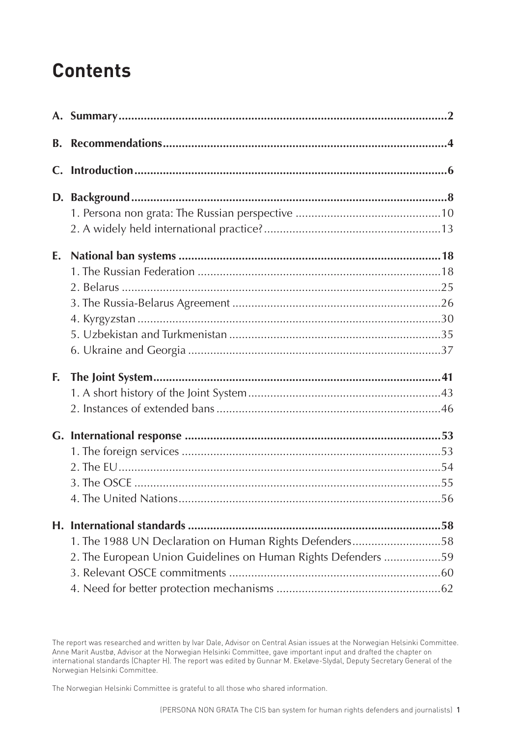# **Contents**

| <b>B.</b> |                                                               |  |
|-----------|---------------------------------------------------------------|--|
|           |                                                               |  |
|           |                                                               |  |
|           |                                                               |  |
|           |                                                               |  |
| E.        |                                                               |  |
|           |                                                               |  |
|           |                                                               |  |
|           |                                                               |  |
|           |                                                               |  |
|           |                                                               |  |
|           |                                                               |  |
| F.        |                                                               |  |
|           |                                                               |  |
|           |                                                               |  |
|           |                                                               |  |
|           |                                                               |  |
|           |                                                               |  |
|           |                                                               |  |
|           |                                                               |  |
|           |                                                               |  |
|           | 1. The 1988 UN Declaration on Human Rights Defenders58        |  |
|           | 2. The European Union Guidelines on Human Rights Defenders 59 |  |
|           |                                                               |  |
|           |                                                               |  |

The Norwegian Helsinki Committee is grateful to all those who shared information.

The report was researched and written by Ivar Dale, Advisor on Central Asian issues at the Norwegian Helsinki Committee. Anne Marit Austbø, Advisor at the Norwegian Helsinki Committee, gave important input and drafted the chapter on international standards (Chapter H). The report was edited by Gunnar M. Ekeløve-Slydal, Deputy Secretary General of the Norwegian Helsinki Committee.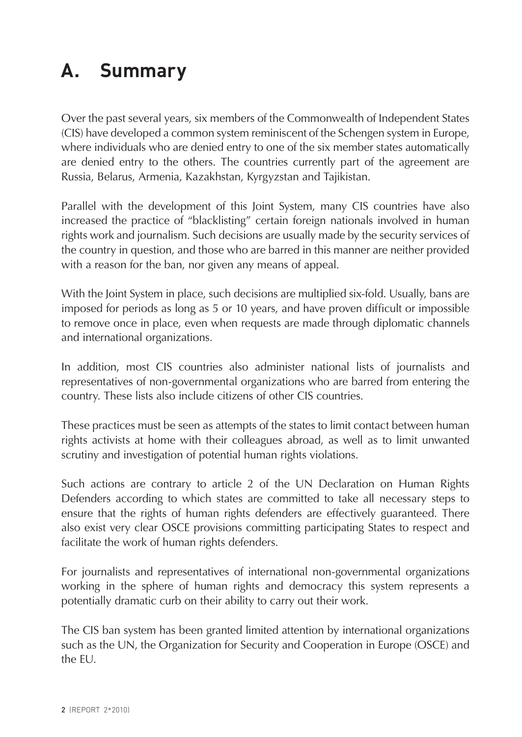# <span id="page-2-0"></span>**A. Summary**

Over the past several years, six members of the Commonwealth of Independent States (CIS) have developed a common system reminiscent of the Schengen system in Europe, where individuals who are denied entry to one of the six member states automatically are denied entry to the others. The countries currently part of the agreement are Russia, Belarus, Armenia, Kazakhstan, Kyrgyzstan and Tajikistan.

Parallel with the development of this Joint System, many CIS countries have also increased the practice of "blacklisting" certain foreign nationals involved in human rights work and journalism. Such decisions are usually made by the security services of the country in question, and those who are barred in this manner are neither provided with a reason for the ban, nor given any means of appeal.

With the Joint System in place, such decisions are multiplied six-fold. Usually, bans are imposed for periods as long as 5 or 10 years, and have proven difficult or impossible to remove once in place, even when requests are made through diplomatic channels and international organizations.

In addition, most CIS countries also administer national lists of journalists and representatives of non-governmental organizations who are barred from entering the country. These lists also include citizens of other CIS countries.

These practices must be seen as attempts of the states to limit contact between human rights activists at home with their colleagues abroad, as well as to limit unwanted scrutiny and investigation of potential human rights violations.

Such actions are contrary to article 2 of the UN Declaration on Human Rights Defenders according to which states are committed to take all necessary steps to ensure that the rights of human rights defenders are effectively guaranteed. There also exist very clear OSCE provisions committing participating States to respect and facilitate the work of human rights defenders.

For journalists and representatives of international non-governmental organizations working in the sphere of human rights and democracy this system represents a potentially dramatic curb on their ability to carry out their work.

The CIS ban system has been granted limited attention by international organizations such as the UN, the Organization for Security and Cooperation in Europe (OSCE) and the EU.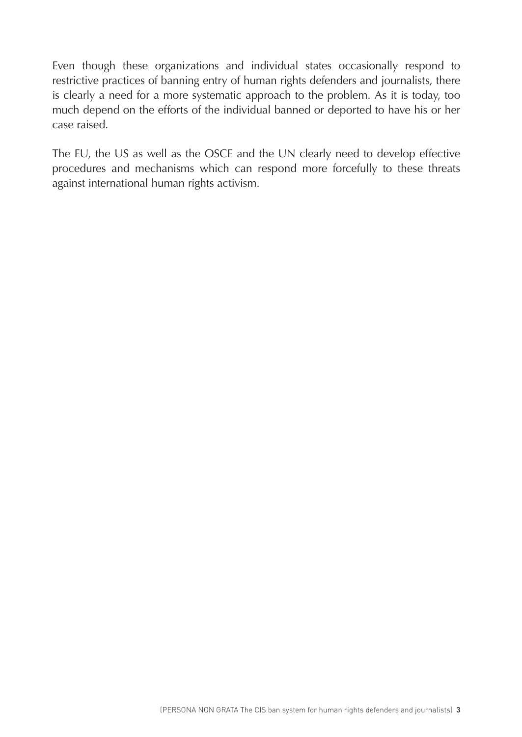Even though these organizations and individual states occasionally respond to restrictive practices of banning entry of human rights defenders and journalists, there is clearly a need for a more systematic approach to the problem. As it is today, too much depend on the efforts of the individual banned or deported to have his or her case raised.

The EU, the US as well as the OSCE and the UN clearly need to develop effective procedures and mechanisms which can respond more forcefully to these threats against international human rights activism.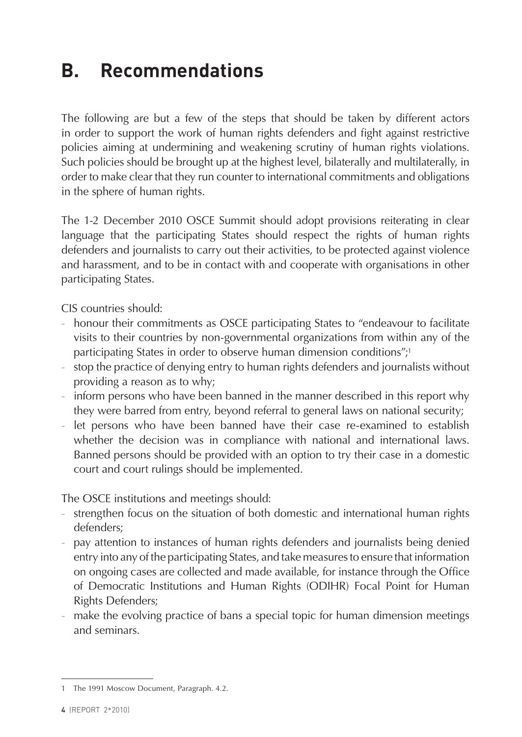# <span id="page-4-0"></span>**B. Recommendations**

The following are but a few of the steps that should be taken by different actors in order to support the work of human rights defenders and fight against restrictive policies aiming at undermining and weakening scrutiny of human rights violations. Such policies should be brought up at the highest level, bilaterally and multilaterally, in order to make clear that they run counter to international commitments and obligations in the sphere of human rights.

The 1-2 December 2010 OSCE Summit should adopt provisions reiterating in clear language that the participating States should respect the rights of human rights defenders and journalists to carry out their activities, to be protected against violence and harassment, and to be in contact with and cooperate with organisations in other participating States.

CIS countries should:

- honour their commitments as OSCE participating States to "endeavour to facilitate visits to their countries by non-governmental organizations from within any of the participating States in order to observe human dimension conditions";<sup>1</sup>
- stop the practice of denying entry to human rights defenders and journalists without providing a reason as to why;
- inform persons who have been banned in the manner described in this report why they were barred from entry, beyond referral to general laws on national security;
- let persons who have been banned have their case re-examined to establish whether the decision was in compliance with national and international laws. Banned persons should be provided with an option to try their case in a domestic court and court rulings should be implemented.

The OSCE institutions and meetings should:

- strengthen focus on the situation of both domestic and international human rights defenders;
- pay attention to instances of human rights defenders and journalists being denied entry into any of the participating States, and take measures to ensure that information on ongoing cases are collected and made available, for instance through the Office of Democratic Institutions and Human Rights (ODIHR) Focal Point for Human Rights Defenders;
- make the evolving practice of bans a special topic for human dimension meetings and seminars.

<sup>1</sup> The 1991 Moscow Document, Paragraph. 4.2.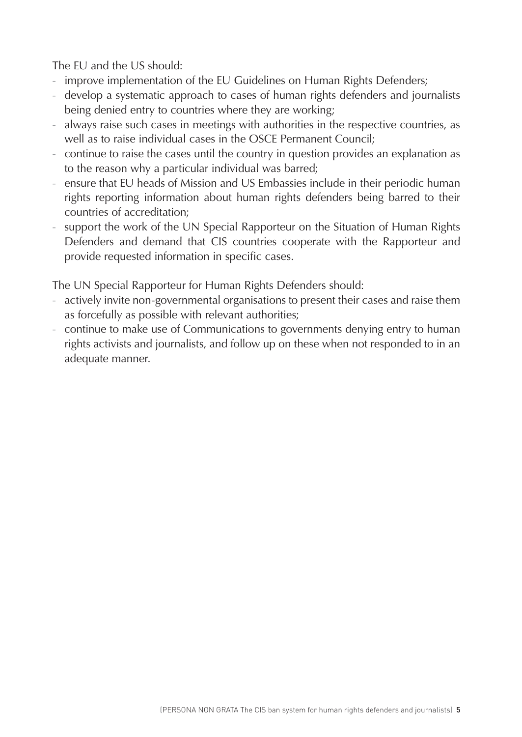The EU and the US should:

- improve implementation of the EU Guidelines on Human Rights Defenders;
- develop a systematic approach to cases of human rights defenders and journalists being denied entry to countries where they are working;
- always raise such cases in meetings with authorities in the respective countries, as well as to raise individual cases in the OSCE Permanent Council;
- continue to raise the cases until the country in question provides an explanation as to the reason why a particular individual was barred;
- ensure that EU heads of Mission and US Embassies include in their periodic human rights reporting information about human rights defenders being barred to their countries of accreditation;
- support the work of the UN Special Rapporteur on the Situation of Human Rights Defenders and demand that CIS countries cooperate with the Rapporteur and provide requested information in specific cases.

The UN Special Rapporteur for Human Rights Defenders should:

- actively invite non-governmental organisations to present their cases and raise them as forcefully as possible with relevant authorities;
- continue to make use of Communications to governments denying entry to human rights activists and journalists, and follow up on these when not responded to in an adequate manner.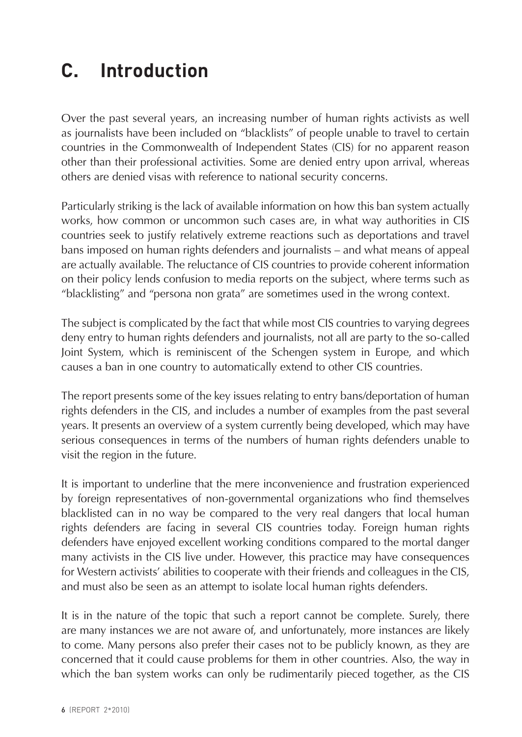# <span id="page-6-0"></span>**C. Introduction**

Over the past several years, an increasing number of human rights activists as well as journalists have been included on "blacklists" of people unable to travel to certain countries in the Commonwealth of Independent States (CIS) for no apparent reason other than their professional activities. Some are denied entry upon arrival, whereas others are denied visas with reference to national security concerns.

Particularly striking is the lack of available information on how this ban system actually works, how common or uncommon such cases are, in what way authorities in CIS countries seek to justify relatively extreme reactions such as deportations and travel bans imposed on human rights defenders and journalists – and what means of appeal are actually available. The reluctance of CIS countries to provide coherent information on their policy lends confusion to media reports on the subject, where terms such as "blacklisting" and "persona non grata" are sometimes used in the wrong context.

The subject is complicated by the fact that while most CIS countries to varying degrees deny entry to human rights defenders and journalists, not all are party to the so-called Joint System, which is reminiscent of the Schengen system in Europe, and which causes a ban in one country to automatically extend to other CIS countries.

The report presents some of the key issues relating to entry bans/deportation of human rights defenders in the CIS, and includes a number of examples from the past several years. It presents an overview of a system currently being developed, which may have serious consequences in terms of the numbers of human rights defenders unable to visit the region in the future.

It is important to underline that the mere inconvenience and frustration experienced by foreign representatives of non-governmental organizations who find themselves blacklisted can in no way be compared to the very real dangers that local human rights defenders are facing in several CIS countries today. Foreign human rights defenders have enjoyed excellent working conditions compared to the mortal danger many activists in the CIS live under. However, this practice may have consequences for Western activists' abilities to cooperate with their friends and colleagues in the CIS, and must also be seen as an attempt to isolate local human rights defenders.

It is in the nature of the topic that such a report cannot be complete. Surely, there are many instances we are not aware of, and unfortunately, more instances are likely to come. Many persons also prefer their cases not to be publicly known, as they are concerned that it could cause problems for them in other countries. Also, the way in which the ban system works can only be rudimentarily pieced together, as the CIS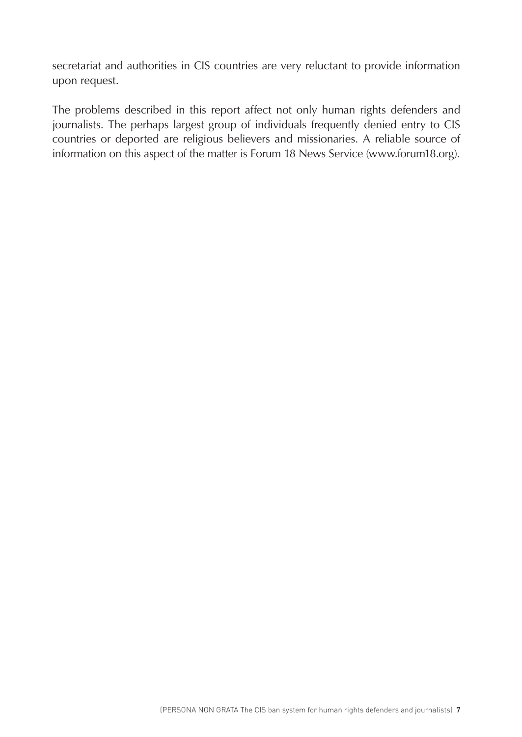secretariat and authorities in CIS countries are very reluctant to provide information upon request.

The problems described in this report affect not only human rights defenders and journalists. The perhaps largest group of individuals frequently denied entry to CIS countries or deported are religious believers and missionaries. A reliable source of information on this aspect of the matter is Forum 18 News Service ([www.forum18.org](http://www.forum18.org)).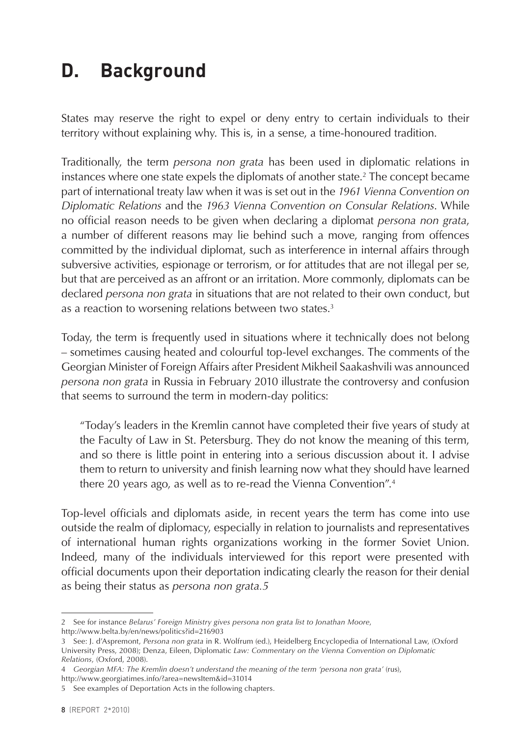# <span id="page-8-0"></span>**D. Background**

States may reserve the right to expel or deny entry to certain individuals to their territory without explaining why. This is, in a sense, a time-honoured tradition.

Traditionally, the term *persona non grata* has been used in diplomatic relations in instances where one state expels the diplomats of another state.2 The concept became part of international treaty law when it was is set out in the *1961 Vienna Convention on Diplomatic Relations* and the *1963 Vienna Convention on Consular Relations*. While no official reason needs to be given when declaring a diplomat *persona non grata*, a number of different reasons may lie behind such a move, ranging from offences committed by the individual diplomat, such as interference in internal affairs through subversive activities, espionage or terrorism, or for attitudes that are not illegal per se, but that are perceived as an affront or an irritation. More commonly, diplomats can be declared *persona non grata* in situations that are not related to their own conduct, but as a reaction to worsening relations between two states.<sup>3</sup>

Today, the term is frequently used in situations where it technically does not belong – sometimes causing heated and colourful top-level exchanges. The comments of the Georgian Minister of Foreign Affairs after President Mikheil Saakashvili was announced *persona non grata* in Russia in February 2010 illustrate the controversy and confusion that seems to surround the term in modern-day politics:

"Today's leaders in the Kremlin cannot have completed their five years of study at the Faculty of Law in St. Petersburg. They do not know the meaning of this term, and so there is little point in entering into a serious discussion about it. I advise them to return to university and finish learning now what they should have learned there 20 years ago, as well as to re-read the Vienna Convention".<sup>4</sup>

Top-level officials and diplomats aside, in recent years the term has come into use outside the realm of diplomacy, especially in relation to journalists and representatives of international human rights organizations working in the former Soviet Union. Indeed, many of the individuals interviewed for this report were presented with official documents upon their deportation indicating clearly the reason for their denial as being their status as *persona non grata.5*

<sup>2</sup> See for instance *Belarus' Foreign Ministry gives persona non grata list to Jonathan Moore*, http://www.belta.by/en/news/politics?id=216903

<sup>3</sup> See: J. d'Aspremont, *Persona non grata* in R. Wolfrum (ed.), Heidelberg Encyclopedia of International Law, (Oxford University Press, 2008); Denza, Eileen, Diplomatic *Law: Commentary on the Vienna Convention on Diplomatic Relations*, (Oxford, 2008).

<sup>4</sup> *Georgian MFA: The Kremlin doesn't understand the meaning of the term 'persona non grata'* (rus), http://www.georgiatimes.info/?area=newsItem&id=31014

<sup>5</sup> See examples of Deportation Acts in the following chapters.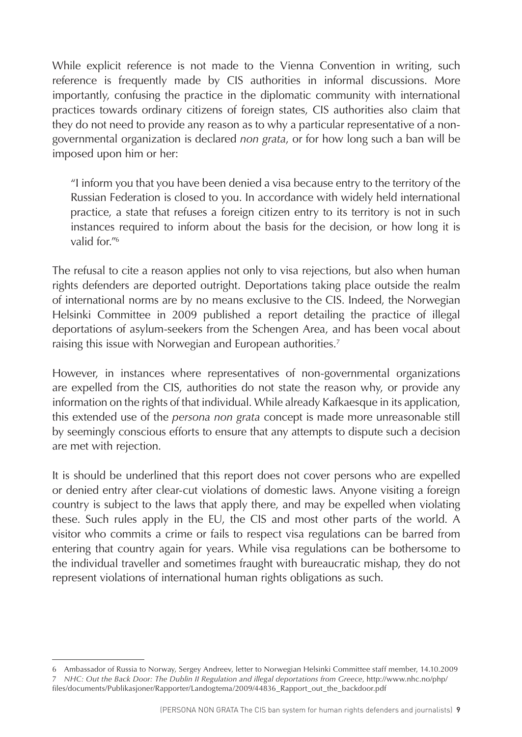While explicit reference is not made to the Vienna Convention in writing, such reference is frequently made by CIS authorities in informal discussions. More importantly, confusing the practice in the diplomatic community with international practices towards ordinary citizens of foreign states, CIS authorities also claim that they do not need to provide any reason as to why a particular representative of a nongovernmental organization is declared *non grata*, or for how long such a ban will be imposed upon him or her:

"I inform you that you have been denied a visa because entry to the territory of the Russian Federation is closed to you. In accordance with widely held international practice, a state that refuses a foreign citizen entry to its territory is not in such instances required to inform about the basis for the decision, or how long it is valid for "<sup>6</sup>

The refusal to cite a reason applies not only to visa rejections, but also when human rights defenders are deported outright. Deportations taking place outside the realm of international norms are by no means exclusive to the CIS. Indeed, the Norwegian Helsinki Committee in 2009 published a report detailing the practice of illegal deportations of asylum-seekers from the Schengen Area, and has been vocal about raising this issue with Norwegian and European authorities.<sup>7</sup>

However, in instances where representatives of non-governmental organizations are expelled from the CIS, authorities do not state the reason why, or provide any information on the rights of that individual. While already Kafkaesque in its application, this extended use of the *persona non grata* concept is made more unreasonable still by seemingly conscious efforts to ensure that any attempts to dispute such a decision are met with rejection.

It is should be underlined that this report does not cover persons who are expelled or denied entry after clear-cut violations of domestic laws. Anyone visiting a foreign country is subject to the laws that apply there, and may be expelled when violating these. Such rules apply in the EU, the CIS and most other parts of the world. A visitor who commits a crime or fails to respect visa regulations can be barred from entering that country again for years. While visa regulations can be bothersome to the individual traveller and sometimes fraught with bureaucratic mishap, they do not represent violations of international human rights obligations as such.

<sup>6</sup> Ambassador of Russia to Norway, Sergey Andreev, letter to Norwegian Helsinki Committee staff member, 14.10.2009 7 *NHC: Out the Back Door: The Dublin II Regulation and illegal deportations from Greece*, http://www.nhc.no/php/ files/documents/Publikasjoner/Rapporter/Landogtema/2009/44836\_Rapport\_out\_the\_backdoor.pdf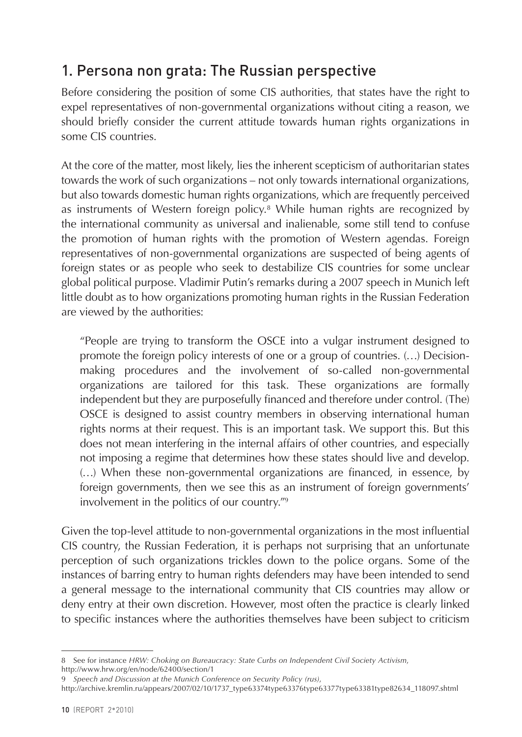# <span id="page-10-0"></span>1. Persona non grata: The Russian perspective

Before considering the position of some CIS authorities, that states have the right to expel representatives of non-governmental organizations without citing a reason, we should briefly consider the current attitude towards human rights organizations in some CIS countries.

At the core of the matter, most likely, lies the inherent scepticism of authoritarian states towards the work of such organizations – not only towards international organizations, but also towards domestic human rights organizations, which are frequently perceived as instruments of Western foreign policy.<sup>8</sup> While human rights are recognized by the international community as universal and inalienable, some still tend to confuse the promotion of human rights with the promotion of Western agendas. Foreign representatives of non-governmental organizations are suspected of being agents of foreign states or as people who seek to destabilize CIS countries for some unclear global political purpose. Vladimir Putin's remarks during a 2007 speech in Munich left little doubt as to how organizations promoting human rights in the Russian Federation are viewed by the authorities:

"People are trying to transform the OSCE into a vulgar instrument designed to promote the foreign policy interests of one or a group of countries. (…) Decisionmaking procedures and the involvement of so-called non-governmental organizations are tailored for this task. These organizations are formally independent but they are purposefully financed and therefore under control. (The) OSCE is designed to assist country members in observing international human rights norms at their request. This is an important task. We support this. But this does not mean interfering in the internal affairs of other countries, and especially not imposing a regime that determines how these states should live and develop. (…) When these non-governmental organizations are financed, in essence, by foreign governments, then we see this as an instrument of foreign governments' involvement in the politics of our country."9

Given the top-level attitude to non-governmental organizations in the most influential CIS country, the Russian Federation, it is perhaps not surprising that an unfortunate perception of such organizations trickles down to the police organs. Some of the instances of barring entry to human rights defenders may have been intended to send a general message to the international community that CIS countries may allow or deny entry at their own discretion. However, most often the practice is clearly linked to specific instances where the authorities themselves have been subject to criticism

<sup>8</sup> See for instance *HRW: Choking on Bureaucracy: State Curbs on Independent Civil Society Activism*, http://www.hrw.org/en/node/62400/section/1

<sup>9</sup> *Speech and Discussion at the Munich Conference on Security Policy (rus)*,

http://archive.kremlin.ru/appears/2007/02/10/1737\_type63374type63376type63377type63381type82634\_118097.shtml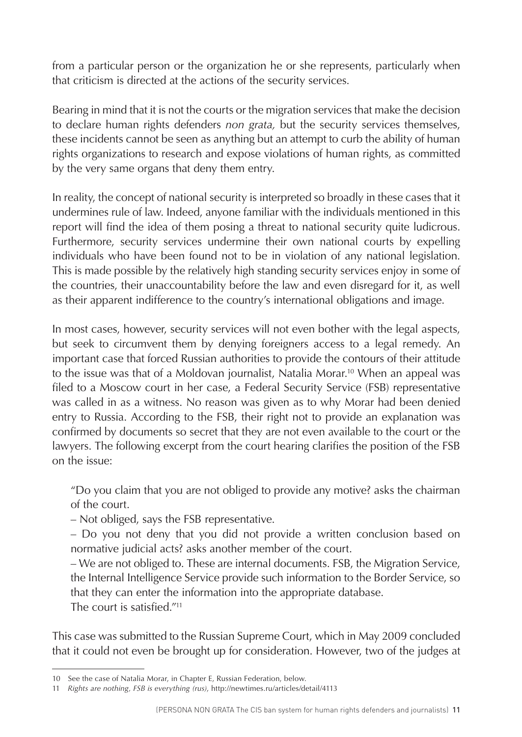from a particular person or the organization he or she represents, particularly when that criticism is directed at the actions of the security services.

Bearing in mind that it is not the courts or the migration services that make the decision to declare human rights defenders *non grata,* but the security services themselves, these incidents cannot be seen as anything but an attempt to curb the ability of human rights organizations to research and expose violations of human rights, as committed by the very same organs that deny them entry.

In reality, the concept of national security is interpreted so broadly in these cases that it undermines rule of law. Indeed, anyone familiar with the individuals mentioned in this report will find the idea of them posing a threat to national security quite ludicrous. Furthermore, security services undermine their own national courts by expelling individuals who have been found not to be in violation of any national legislation. This is made possible by the relatively high standing security services enjoy in some of the countries, their unaccountability before the law and even disregard for it, as well as their apparent indifference to the country's international obligations and image.

In most cases, however, security services will not even bother with the legal aspects, but seek to circumvent them by denying foreigners access to a legal remedy. An important case that forced Russian authorities to provide the contours of their attitude to the issue was that of a Moldovan journalist, Natalia Morar.<sup>10</sup> When an appeal was filed to a Moscow court in her case, a Federal Security Service (FSB) representative was called in as a witness. No reason was given as to why Morar had been denied entry to Russia. According to the FSB, their right not to provide an explanation was confirmed by documents so secret that they are not even available to the court or the lawyers. The following excerpt from the court hearing clarifies the position of the FSB on the issue:

"Do you claim that you are not obliged to provide any motive? asks the chairman of the court.

– Not obliged, says the FSB representative.

– Do you not deny that you did not provide a written conclusion based on normative judicial acts? asks another member of the court.

– We are not obliged to. These are internal documents. FSB, the Migration Service, the Internal Intelligence Service provide such information to the Border Service, so that they can enter the information into the appropriate database.

The court is satisfied."11

This case was submitted to the Russian Supreme Court, which in May 2009 concluded that it could not even be brought up for consideration. However, two of the judges at

<sup>10</sup> See the case of Natalia Morar, in Chapter E, Russian Federation, below.

<sup>11</sup> *Rights are nothing, FSB is everything (rus)*, http://newtimes.ru/articles/detail/4113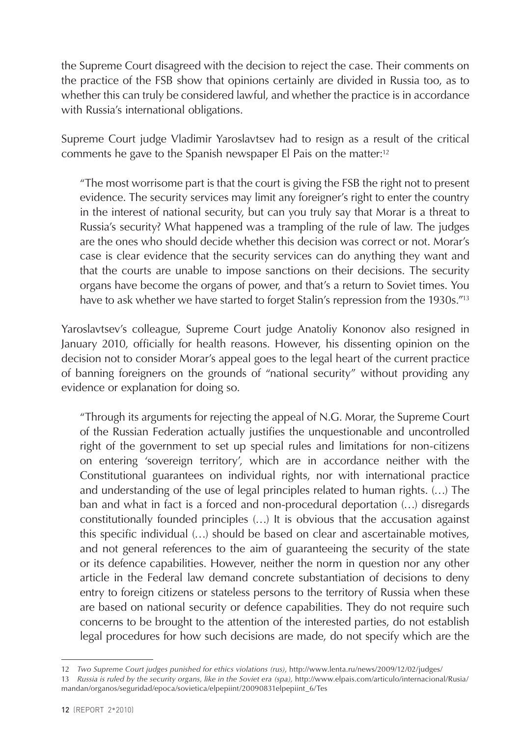the Supreme Court disagreed with the decision to reject the case. Their comments on the practice of the FSB show that opinions certainly are divided in Russia too, as to whether this can truly be considered lawful, and whether the practice is in accordance with Russia's international obligations.

Supreme Court judge Vladimir Yaroslavtsev had to resign as a result of the critical comments he gave to the Spanish newspaper El Pais on the matter:12

"The most worrisome part is that the court is giving the FSB the right not to present evidence. The security services may limit any foreigner's right to enter the country in the interest of national security, but can you truly say that Morar is a threat to Russia's security? What happened was a trampling of the rule of law. The judges are the ones who should decide whether this decision was correct or not. Morar's case is clear evidence that the security services can do anything they want and that the courts are unable to impose sanctions on their decisions. The security organs have become the organs of power, and that's a return to Soviet times. You have to ask whether we have started to forget Stalin's repression from the 1930s."<sup>13</sup>

Yaroslavtsev's colleague, Supreme Court judge Anatoliy Kononov also resigned in January 2010, officially for health reasons. However, his dissenting opinion on the decision not to consider Morar's appeal goes to the legal heart of the current practice of banning foreigners on the grounds of "national security" without providing any evidence or explanation for doing so.

"Through its arguments for rejecting the appeal of N.G. Morar, the Supreme Court of the Russian Federation actually justifies the unquestionable and uncontrolled right of the government to set up special rules and limitations for non-citizens on entering 'sovereign territory', which are in accordance neither with the Constitutional guarantees on individual rights, nor with international practice and understanding of the use of legal principles related to human rights. (…) The ban and what in fact is a forced and non-procedural deportation (…) disregards constitutionally founded principles (…) It is obvious that the accusation against this specific individual (…) should be based on clear and ascertainable motives, and not general references to the aim of guaranteeing the security of the state or its defence capabilities. However, neither the norm in question nor any other article in the Federal law demand concrete substantiation of decisions to deny entry to foreign citizens or stateless persons to the territory of Russia when these are based on national security or defence capabilities. They do not require such concerns to be brought to the attention of the interested parties, do not establish legal procedures for how such decisions are made, do not specify which are the

<sup>12</sup> *Two Supreme Court judges punished for ethics violations (rus)*, http://www.lenta.ru/news/2009/12/02/judges/

<sup>13</sup> *Russia is ruled by the security organs, like in the Soviet era (spa),* http://www.elpais.com/articulo/internacional/Rusia/ mandan/organos/seguridad/epoca/sovietica/elpepiint/20090831elpepiint\_6/Tes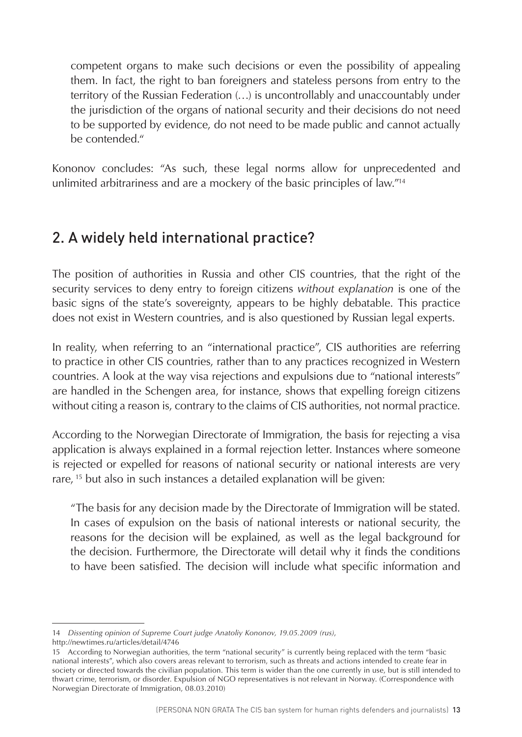<span id="page-13-0"></span>competent organs to make such decisions or even the possibility of appealing them. In fact, the right to ban foreigners and stateless persons from entry to the territory of the Russian Federation (…) is uncontrollably and unaccountably under the jurisdiction of the organs of national security and their decisions do not need to be supported by evidence, do not need to be made public and cannot actually be contended."

Kononov concludes: "As such, these legal norms allow for unprecedented and unlimited arbitrariness and are a mockery of the basic principles of law."14

# 2. A widely held international practice?

The position of authorities in Russia and other CIS countries, that the right of the security services to deny entry to foreign citizens *without explanation* is one of the basic signs of the state's sovereignty, appears to be highly debatable. This practice does not exist in Western countries, and is also questioned by Russian legal experts.

In reality, when referring to an "international practice", CIS authorities are referring to practice in other CIS countries, rather than to any practices recognized in Western countries. A look at the way visa rejections and expulsions due to "national interests" are handled in the Schengen area, for instance, shows that expelling foreign citizens without citing a reason is, contrary to the claims of CIS authorities, not normal practice.

According to the Norwegian Directorate of Immigration, the basis for rejecting a visa application is always explained in a formal rejection letter. Instances where someone is rejected or expelled for reasons of national security or national interests are very rare, <sup>15</sup> but also in such instances a detailed explanation will be given:

"The basis for any decision made by the Directorate of Immigration will be stated. In cases of expulsion on the basis of national interests or national security, the reasons for the decision will be explained, as well as the legal background for the decision. Furthermore, the Directorate will detail why it finds the conditions to have been satisfied. The decision will include what specific information and

<sup>14</sup> *Dissenting opinion of Supreme Court judge Anatoliy Kononov, 19.05.2009 (rus)*,

http://newtimes.ru/articles/detail/4746

<sup>15</sup> According to Norwegian authorities, the term "national security" is currently being replaced with the term "basic national interests", which also covers areas relevant to terrorism, such as threats and actions intended to create fear in society or directed towards the civilian population. This term is wider than the one currently in use, but is still intended to thwart crime, terrorism, or disorder. Expulsion of NGO representatives is not relevant in Norway. (Correspondence with Norwegian Directorate of Immigration, 08.03.2010)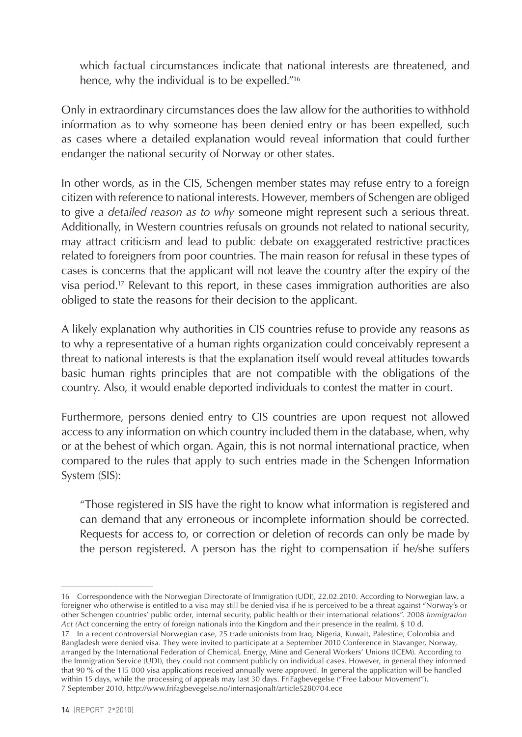which factual circumstances indicate that national interests are threatened, and hence, why the individual is to be expelled."<sup>16</sup>

Only in extraordinary circumstances does the law allow for the authorities to withhold information as to why someone has been denied entry or has been expelled, such as cases where a detailed explanation would reveal information that could further endanger the national security of Norway or other states.

In other words, as in the CIS, Schengen member states may refuse entry to a foreign citizen with reference to national interests. However, members of Schengen are obliged to give *a detailed reason as to why* someone might represent such a serious threat. Additionally, in Western countries refusals on grounds not related to national security, may attract criticism and lead to public debate on exaggerated restrictive practices related to foreigners from poor countries. The main reason for refusal in these types of cases is concerns that the applicant will not leave the country after the expiry of the visa period.17 Relevant to this report, in these cases immigration authorities are also obliged to state the reasons for their decision to the applicant.

A likely explanation why authorities in CIS countries refuse to provide any reasons as to why a representative of a human rights organization could conceivably represent a threat to national interests is that the explanation itself would reveal attitudes towards basic human rights principles that are not compatible with the obligations of the country. Also, it would enable deported individuals to contest the matter in court.

Furthermore, persons denied entry to CIS countries are upon request not allowed access to any information on which country included them in the database, when, why or at the behest of which organ. Again, this is not normal international practice, when compared to the rules that apply to such entries made in the Schengen Information System (SIS):

"Those registered in SIS have the right to know what information is registered and can demand that any erroneous or incomplete information should be corrected. Requests for access to, or correction or deletion of records can only be made by the person registered. A person has the right to compensation if he/she suffers

<sup>16</sup> Correspondence with the Norwegian Directorate of Immigration (UDI), 22.02.2010. According to Norwegian law, a foreigner who otherwise is entitled to a visa may still be denied visa if he is perceived to be a threat against "Norway's or other Schengen countries' public order, internal security, public health or their international relations". 2008 *Immigration Act (*Act concerning the entry of foreign nationals into the Kingdom and their presence in the realm), § 10 d.

<sup>17</sup> In a recent controversial Norwegian case, 25 trade unionists from Iraq, Nigeria, Kuwait, Palestine, Colombia and Bangladesh were denied visa. They were invited to participate at a September 2010 Conference in Stavanger, Norway, arranged by the International Federation of Chemical, Energy, Mine and General Workers' Unions (ICEM). According to the Immigration Service (UDI), they could not comment publicly on individual cases. However, in general they informed that 90 % of the 115 000 visa applications received annually were approved. In general the application will be handled within 15 days, while the processing of appeals may last 30 days. FriFagbevegelse ("Free Labour Movement"), 7 September 2010, <http://www.frifagbevegelse.no/internasjonalt/article5280704.ece>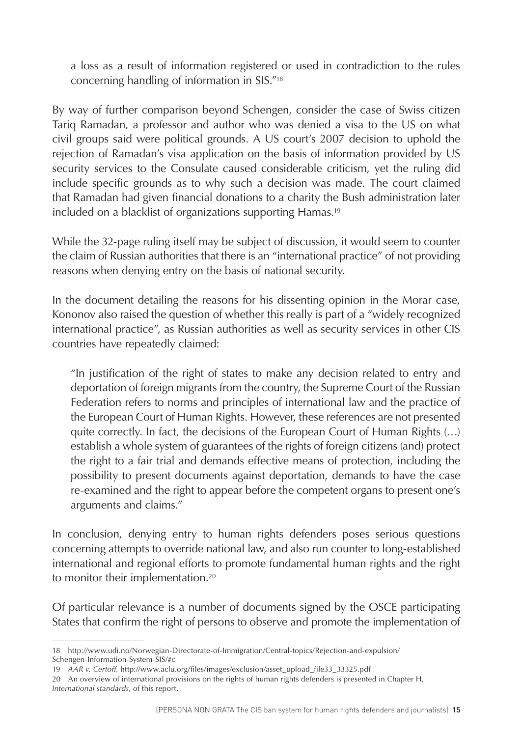a loss as a result of information registered or used in contradiction to the rules concerning handling of information in SIS."18

By way of further comparison beyond Schengen, consider the case of Swiss citizen Tariq Ramadan, a professor and author who was denied a visa to the US on what civil groups said were political grounds. A US court's 2007 decision to uphold the rejection of Ramadan's visa application on the basis of information provided by US security services to the Consulate caused considerable criticism, yet the ruling did include specific grounds as to why such a decision was made. The court claimed that Ramadan had given financial donations to a charity the Bush administration later included on a blacklist of organizations supporting Hamas.<sup>19</sup>

While the 32-page ruling itself may be subject of discussion, it would seem to counter the claim of Russian authorities that there is an "international practice" of not providing reasons when denying entry on the basis of national security.

In the document detailing the reasons for his dissenting opinion in the Morar case, Kononov also raised the question of whether this really is part of a "widely recognized international practice", as Russian authorities as well as security services in other CIS countries have repeatedly claimed:

"In justification of the right of states to make any decision related to entry and deportation of foreign migrants from the country, the Supreme Court of the Russian Federation refers to norms and principles of international law and the practice of the European Court of Human Rights. However, these references are not presented quite correctly. In fact, the decisions of the European Court of Human Rights (…) establish a whole system of guarantees of the rights of foreign citizens (and) protect the right to a fair trial and demands effective means of protection, including the possibility to present documents against deportation, demands to have the case re-examined and the right to appear before the competent organs to present one's arguments and claims."

In conclusion, denying entry to human rights defenders poses serious questions concerning attempts to override national law, and also run counter to long-established international and regional efforts to promote fundamental human rights and the right to monitor their implementation.<sup>20</sup>

Of particular relevance is a number of documents signed by the OSCE participating States that confirm the right of persons to observe and promote the implementation of

<sup>18</sup> http://www.udi.no/Norwegian-Directorate-of-Immigration/Central-topics/Rejection-and-expulsion/ Schengen-Information-System-SIS/#c

<sup>19</sup> *AAR v. Certoff,* http://www.aclu.org/files/images/exclusion/asset\_upload\_file33\_33325.pdf

<sup>20</sup> An overview of international provisions on the rights of human rights defenders is presented in Chapter H, *International standards*, of this report.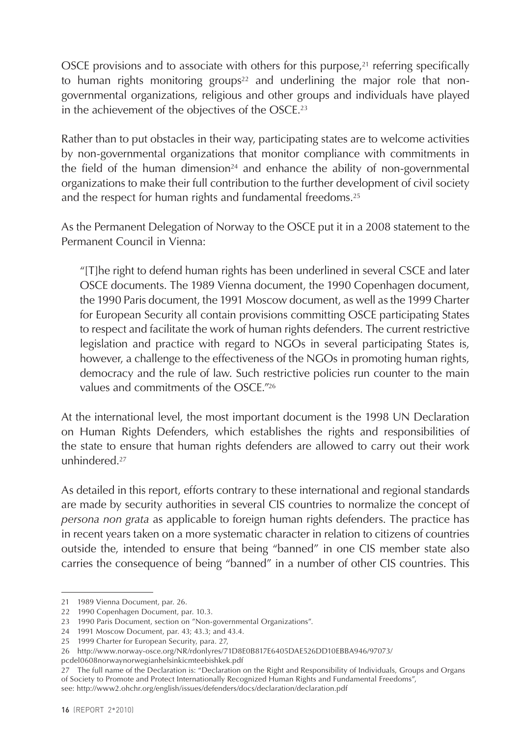OSCE provisions and to associate with others for this purpose, $2<sup>1</sup>$  referring specifically to human rights monitoring groups<sup>22</sup> and underlining the major role that nongovernmental organizations, religious and other groups and individuals have played in the achievement of the objectives of the OSCE.23

Rather than to put obstacles in their way, participating states are to welcome activities by non-governmental organizations that monitor compliance with commitments in the field of the human dimension<sup>24</sup> and enhance the ability of non-governmental organizations to make their full contribution to the further development of civil society and the respect for human rights and fundamental freedoms.25

As the Permanent Delegation of Norway to the OSCE put it in a 2008 statement to the Permanent Council in Vienna:

"[T]he right to defend human rights has been underlined in several CSCE and later OSCE documents. The 1989 Vienna document, the 1990 Copenhagen document, the 1990 Paris document, the 1991 Moscow document, as well as the 1999 Charter for European Security all contain provisions committing OSCE participating States to respect and facilitate the work of human rights defenders. The current restrictive legislation and practice with regard to NGOs in several participating States is, however, a challenge to the effectiveness of the NGOs in promoting human rights, democracy and the rule of law. Such restrictive policies run counter to the main values and commitments of the  $OSCF$ <sup> $"26$ </sup>

At the international level, the most important document is the 1998 UN Declaration on Human Rights Defenders, which establishes the rights and responsibilities of the state to ensure that human rights defenders are allowed to carry out their work unhindered.27

As detailed in this report, efforts contrary to these international and regional standards are made by security authorities in several CIS countries to normalize the concept of *persona non grata* as applicable to foreign human rights defenders. The practice has in recent years taken on a more systematic character in relation to citizens of countries outside the, intended to ensure that being "banned" in one CIS member state also carries the consequence of being "banned" in a number of other CIS countries. This

<sup>21</sup> 1989 Vienna Document, par. 26.

<sup>22</sup> 1990 Copenhagen Document, par. 10.3.

<sup>23</sup> 1990 Paris Document, section on "Non-governmental Organizations".

<sup>24</sup> 1991 Moscow Document, par. 43; 43.3; and 43.4.

<sup>25</sup> 1999 Charter for European Security, para. 27,

<sup>26</sup> http://www.norway-osce.org/NR/rdonlyres/71D8E0B817E6405DAE526DD10EBBA946/97073/

pcdel0608norwaynorwegianhelsinkicmteebishkek.pdf

<sup>27</sup> The full name of the Declaration is: "Declaration on the Right and Responsibility of Individuals, Groups and Organs of Society to Promote and Protect Internationally Recognized Human Rights and Fundamental Freedoms", see: http://www2.ohchr.org/english/issues/defenders/docs/declaration/declaration.pdf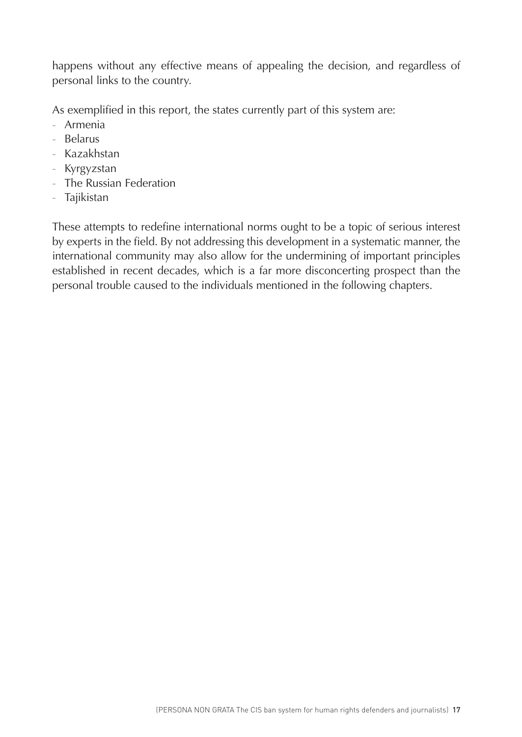happens without any effective means of appealing the decision, and regardless of personal links to the country.

As exemplified in this report, the states currently part of this system are:

- Armenia
- Belarus
- Kazakhstan
- Kyrgyzstan
- The Russian Federation
- Tajikistan

These attempts to redefine international norms ought to be a topic of serious interest by experts in the field. By not addressing this development in a systematic manner, the international community may also allow for the undermining of important principles established in recent decades, which is a far more disconcerting prospect than the personal trouble caused to the individuals mentioned in the following chapters.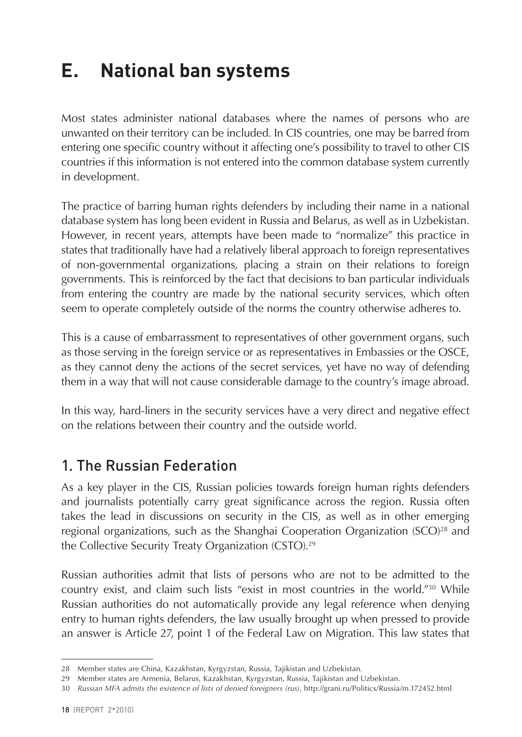# <span id="page-18-0"></span>**E. National ban systems**

Most states administer national databases where the names of persons who are unwanted on their territory can be included. In CIS countries, one may be barred from entering one specific country without it affecting one's possibility to travel to other CIS countries if this information is not entered into the common database system currently in development.

The practice of barring human rights defenders by including their name in a national database system has long been evident in Russia and Belarus, as well as in Uzbekistan. However, in recent years, attempts have been made to "normalize" this practice in states that traditionally have had a relatively liberal approach to foreign representatives of non-governmental organizations, placing a strain on their relations to foreign governments. This is reinforced by the fact that decisions to ban particular individuals from entering the country are made by the national security services, which often seem to operate completely outside of the norms the country otherwise adheres to.

This is a cause of embarrassment to representatives of other government organs, such as those serving in the foreign service or as representatives in Embassies or the OSCE, as they cannot deny the actions of the secret services, yet have no way of defending them in a way that will not cause considerable damage to the country's image abroad.

In this way, hard-liners in the security services have a very direct and negative effect on the relations between their country and the outside world.

# 1. The Russian Federation

As a key player in the CIS, Russian policies towards foreign human rights defenders and journalists potentially carry great significance across the region. Russia often takes the lead in discussions on security in the CIS, as well as in other emerging regional organizations, such as the Shanghai Cooperation Organization  $(SCO)^{28}$  and the Collective Security Treaty Organization (CSTO).29

Russian authorities admit that lists of persons who are not to be admitted to the country exist, and claim such lists "exist in most countries in the world."30 While Russian authorities do not automatically provide any legal reference when denying entry to human rights defenders, the law usually brought up when pressed to provide an answer is Article 27, point 1 of the Federal Law on Migration. This law states that

<sup>28</sup> Member states are China, Kazakhstan, Kyrgyzstan, Russia, Tajikistan and Uzbekistan.

<sup>29</sup> Member states are Armenia, Belarus, Kazakhstan, Kyrgyzstan, Russia, Tajikistan and Uzbekistan.

<sup>30</sup> *Russian MFA admits the existence of lists of denied foreigners (rus)*, http://grani.ru/Politics/Russia/m.172452.html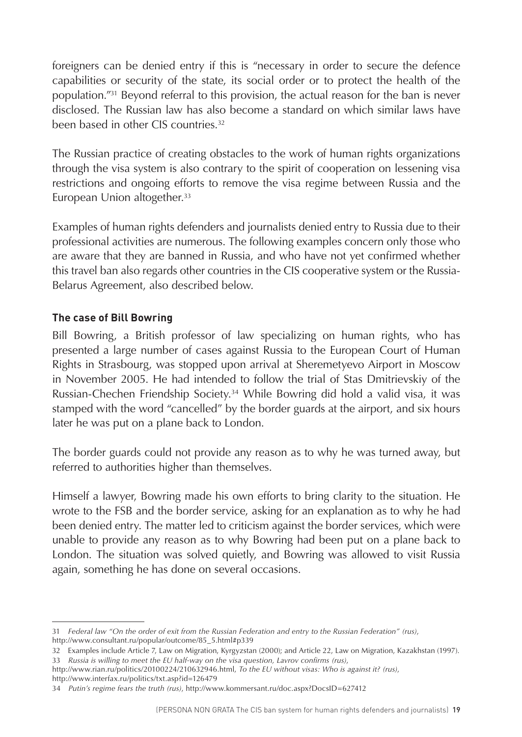foreigners can be denied entry if this is "necessary in order to secure the defence capabilities or security of the state, its social order or to protect the health of the population."31 Beyond referral to this provision, the actual reason for the ban is never disclosed. The Russian law has also become a standard on which similar laws have been based in other CIS countries.32

The Russian practice of creating obstacles to the work of human rights organizations through the visa system is also contrary to the spirit of cooperation on lessening visa restrictions and ongoing efforts to remove the visa regime between Russia and the European Union altogether.<sup>33</sup>

Examples of human rights defenders and journalists denied entry to Russia due to their professional activities are numerous. The following examples concern only those who are aware that they are banned in Russia, and who have not yet confirmed whether this travel ban also regards other countries in the CIS cooperative system or the Russia-Belarus Agreement, also described below.

#### **The case of Bill Bowring**

Bill Bowring, a British professor of law specializing on human rights, who has presented a large number of cases against Russia to the European Court of Human Rights in Strasbourg, was stopped upon arrival at Sheremetyevo Airport in Moscow in November 2005. He had intended to follow the trial of Stas Dmitrievskiy of the Russian-Chechen Friendship Society.34 While Bowring did hold a valid visa, it was stamped with the word "cancelled" by the border guards at the airport, and six hours later he was put on a plane back to London.

The border guards could not provide any reason as to why he was turned away, but referred to authorities higher than themselves.

Himself a lawyer, Bowring made his own efforts to bring clarity to the situation. He wrote to the FSB and the border service, asking for an explanation as to why he had been denied entry. The matter led to criticism against the border services, which were unable to provide any reason as to why Bowring had been put on a plane back to London. The situation was solved quietly, and Bowring was allowed to visit Russia again, something he has done on several occasions.

http://www.interfax.ru/politics/txt.asp?id=126479

<sup>31</sup> *Federal law "On the order of exit from the Russian Federation and entry to the Russian Federation" (rus)*, http://www.consultant.ru/popular/outcome/85\_5.html#p339

<sup>32</sup> Examples include Article 7, Law on Migration, Kyrgyzstan (2000); and Article 22, Law on Migration, Kazakhstan (1997). 33 *Russia is willing to meet the EU half-way on the visa question, Lavrov confirms (rus)*,

[http://www.rian.ru/politics/20100224/210632946.html,](http://www.rian.ru/politics/20100224/210632946.html) *To the EU without visas: Who is against it? (rus)*,

<sup>34</sup> *Putin's regime fears the truth (rus)*, http://www.kommersant.ru/doc.aspx?DocsID=627412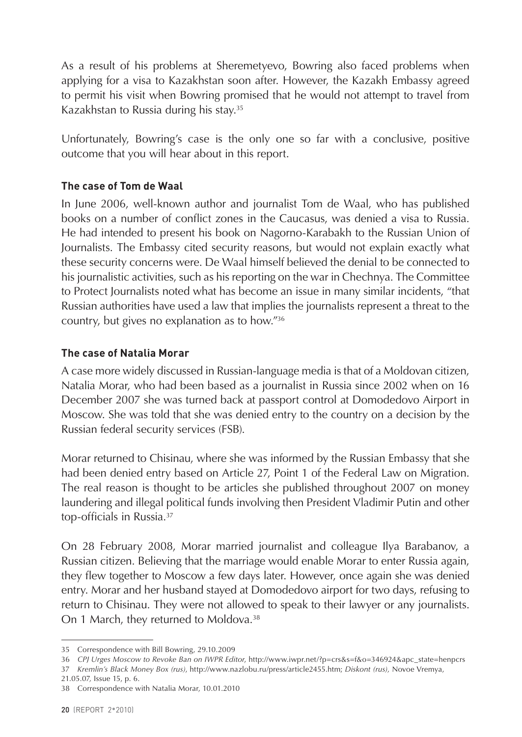As a result of his problems at Sheremetyevo, Bowring also faced problems when applying for a visa to Kazakhstan soon after. However, the Kazakh Embassy agreed to permit his visit when Bowring promised that he would not attempt to travel from Kazakhstan to Russia during his stay.35

Unfortunately, Bowring's case is the only one so far with a conclusive, positive outcome that you will hear about in this report.

#### **The case of Tom de Waal**

In June 2006, well-known author and journalist Tom de Waal, who has published books on a number of conflict zones in the Caucasus, was denied a visa to Russia. He had intended to present his book on Nagorno-Karabakh to the Russian Union of Journalists. The Embassy cited security reasons, but would not explain exactly what these security concerns were. De Waal himself believed the denial to be connected to his journalistic activities, such as his reporting on the war in Chechnya. The Committee to Protect Journalists noted what has become an issue in many similar incidents, "that Russian authorities have used a law that implies the journalists represent a threat to the country, but gives no explanation as to how."36

#### **The case of Natalia Morar**

A case more widely discussed in Russian-language media is that of a Moldovan citizen, Natalia Morar, who had been based as a journalist in Russia since 2002 when on 16 December 2007 she was turned back at passport control at Domodedovo Airport in Moscow. She was told that she was denied entry to the country on a decision by the Russian federal security services (FSB).

Morar returned to Chisinau, where she was informed by the Russian Embassy that she had been denied entry based on Article 27, Point 1 of the Federal Law on Migration. The real reason is thought to be articles she published throughout 2007 on money laundering and illegal political funds involving then President Vladimir Putin and other top-officials in Russia.37

On 28 February 2008, Morar married journalist and colleague Ilya Barabanov, a Russian citizen. Believing that the marriage would enable Morar to enter Russia again, they flew together to Moscow a few days later. However, once again she was denied entry. Morar and her husband stayed at Domodedovo airport for two days, refusing to return to Chisinau. They were not allowed to speak to their lawyer or any journalists. On 1 March, they returned to Moldova.<sup>38</sup>

<sup>35</sup> Correspondence with Bill Bowring, 29.10.2009

<sup>36</sup> *CPJ Urges Moscow to Revoke Ban on IWPR Editor*, http://www.iwpr.net/?p=crs&s=f&o=346924&apc\_state=henpcrs

<sup>37</sup> *Kremlin's Black Money Box (rus)*, [http://www.nazlobu.ru/press/article2455.htm;](http://www.nazlobu.ru/press/article2455.htm) *Diskont (rus),* Novoe Vremya,

<sup>21.05.07</sup>*,* Issue 15, p. 6.

<sup>38</sup> Correspondence with Natalia Morar, 10.01.2010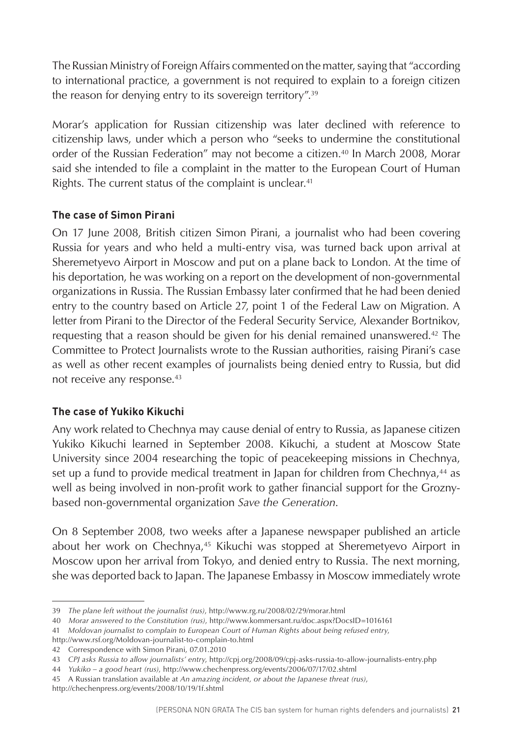The Russian Ministry of Foreign Affairs commented on the matter, saying that "according to international practice, a government is not required to explain to a foreign citizen the reason for denying entry to its sovereign territory".39

Morar's application for Russian citizenship was later declined with reference to citizenship laws, under which a person who "seeks to undermine the constitutional order of the Russian Federation" may not become a citizen.40 In March 2008, Morar said she intended to file a complaint in the matter to the European Court of Human Rights. The current status of the complaint is unclear.<sup>41</sup>

#### **The case of Simon Pirani**

On 17 June 2008, British citizen Simon Pirani, a journalist who had been covering Russia for years and who held a multi-entry visa, was turned back upon arrival at Sheremetyevo Airport in Moscow and put on a plane back to London. At the time of his deportation, he was working on a report on the development of non-governmental organizations in Russia. The Russian Embassy later confirmed that he had been denied entry to the country based on Article 27, point 1 of the Federal Law on Migration. A letter from Pirani to the Director of the Federal Security Service, Alexander Bortnikov, requesting that a reason should be given for his denial remained unanswered.42 The Committee to Protect Journalists wrote to the Russian authorities, raising Pirani's case as well as other recent examples of journalists being denied entry to Russia, but did not receive any response.43

#### **The case of Yukiko Kikuchi**

Any work related to Chechnya may cause denial of entry to Russia, as Japanese citizen Yukiko Kikuchi learned in September 2008. Kikuchi, a student at Moscow State University since 2004 researching the topic of peacekeeping missions in Chechnya, set up a fund to provide medical treatment in Japan for children from Chechnya,<sup>44</sup> as well as being involved in non-profit work to gather financial support for the Groznybased non-governmental organization *Save the Generation*.

On 8 September 2008, two weeks after a Japanese newspaper published an article about her work on Chechnya,45 Kikuchi was stopped at Sheremetyevo Airport in Moscow upon her arrival from Tokyo, and denied entry to Russia. The next morning, she was deported back to Japan. The Japanese Embassy in Moscow immediately wrote

<sup>39</sup> *The plane left without the journalist (rus)*, http://www.rg.ru/2008/02/29/morar.html

<sup>40</sup> *Morar answered to the Constitution (rus)*, <http://www.kommersant.ru/doc.aspx?DocsID=1016161>

<sup>41</sup> *Moldovan journalist to complain to European Court of Human Rights about being refused entry*,

http://www.rsf.org/Moldovan-journalist-to-complain-to.html

<sup>42</sup> Correspondence with Simon Pirani, 07.01.2010

<sup>43</sup> *CPJ asks Russia to allow journalists' entry*, http://cpj.org/2008/09/cpj-asks-russia-to-allow-journalists-entry.php

<sup>44</sup> *Yukiko – a good heart (rus)*, http://www.chechenpress.org/events/2006/07/17/02.shtml

<sup>45</sup> A Russian translation available at *An amazing incident, or about the Japanese threat (rus)*,

http://chechenpress.org/events/2008/10/19/1f.shtml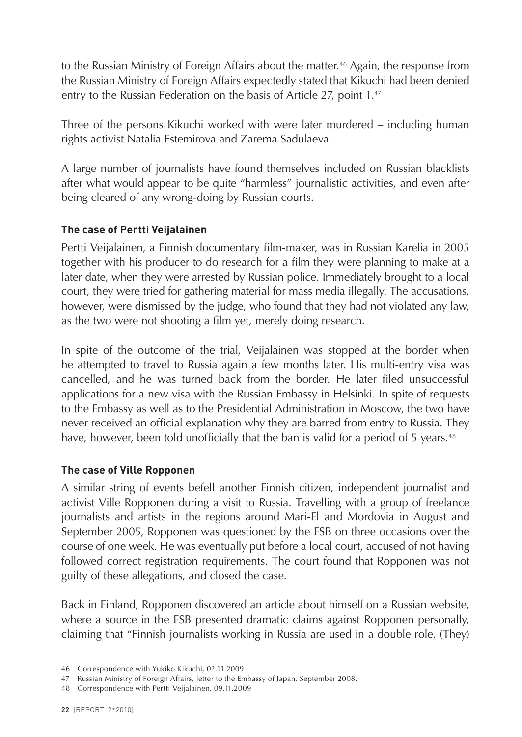to the Russian Ministry of Foreign Affairs about the matter.<sup>46</sup> Again, the response from the Russian Ministry of Foreign Affairs expectedly stated that Kikuchi had been denied entry to the Russian Federation on the basis of Article 27, point 1.<sup>47</sup>

Three of the persons Kikuchi worked with were later murdered – including human rights activist Natalia Estemirova and Zarema Sadulaeva.

A large number of journalists have found themselves included on Russian blacklists after what would appear to be quite "harmless" journalistic activities, and even after being cleared of any wrong-doing by Russian courts.

#### **The case of Pertti Veijalainen**

Pertti Veijalainen, a Finnish documentary film-maker, was in Russian Karelia in 2005 together with his producer to do research for a film they were planning to make at a later date, when they were arrested by Russian police. Immediately brought to a local court, they were tried for gathering material for mass media illegally. The accusations, however, were dismissed by the judge, who found that they had not violated any law, as the two were not shooting a film yet, merely doing research.

In spite of the outcome of the trial, Veijalainen was stopped at the border when he attempted to travel to Russia again a few months later. His multi-entry visa was cancelled, and he was turned back from the border. He later filed unsuccessful applications for a new visa with the Russian Embassy in Helsinki. In spite of requests to the Embassy as well as to the Presidential Administration in Moscow, the two have never received an official explanation why they are barred from entry to Russia. They have, however, been told unofficially that the ban is valid for a period of 5 years.<sup>48</sup>

#### **The case of Ville Ropponen**

A similar string of events befell another Finnish citizen, independent journalist and activist Ville Ropponen during a visit to Russia. Travelling with a group of freelance journalists and artists in the regions around Mari-El and Mordovia in August and September 2005, Ropponen was questioned by the FSB on three occasions over the course of one week. He was eventually put before a local court, accused of not having followed correct registration requirements. The court found that Ropponen was not guilty of these allegations, and closed the case.

Back in Finland, Ropponen discovered an article about himself on a Russian website, where a source in the FSB presented dramatic claims against Ropponen personally, claiming that "Finnish journalists working in Russia are used in a double role. (They)

<sup>46</sup> Correspondence with Yukiko Kikuchi, 02.11.2009

<sup>47</sup> Russian Ministry of Foreign Affairs, letter to the Embassy of Japan, September 2008.

<sup>48</sup> Correspondence with Pertti Veijalainen, 09.11.2009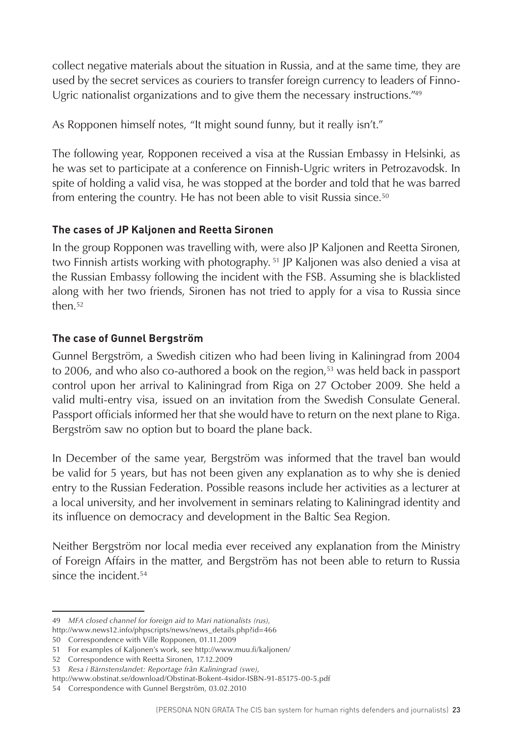collect negative materials about the situation in Russia, and at the same time, they are used by the secret services as couriers to transfer foreign currency to leaders of Finno-Ugric nationalist organizations and to give them the necessary instructions."49

As Ropponen himself notes, "It might sound funny, but it really isn't."

The following year, Ropponen received a visa at the Russian Embassy in Helsinki, as he was set to participate at a conference on Finnish-Ugric writers in Petrozavodsk. In spite of holding a valid visa, he was stopped at the border and told that he was barred from entering the country. He has not been able to visit Russia since.<sup>50</sup>

#### **The cases of JP Kaljonen and Reetta Sironen**

In the group Ropponen was travelling with, were also JP Kaljonen and Reetta Sironen, two Finnish artists working with photography. 51 JP Kaljonen was also denied a visa at the Russian Embassy following the incident with the FSB. Assuming she is blacklisted along with her two friends, Sironen has not tried to apply for a visa to Russia since then.<sup>52</sup>

#### **The case of Gunnel Bergström**

Gunnel Bergström, a Swedish citizen who had been living in Kaliningrad from 2004 to 2006, and who also co-authored a book on the region, $53$  was held back in passport control upon her arrival to Kaliningrad from Riga on 27 October 2009. She held a valid multi-entry visa, issued on an invitation from the Swedish Consulate General. Passport officials informed her that she would have to return on the next plane to Riga. Bergström saw no option but to board the plane back.

In December of the same year, Bergström was informed that the travel ban would be valid for 5 years, but has not been given any explanation as to why she is denied entry to the Russian Federation. Possible reasons include her activities as a lecturer at a local university, and her involvement in seminars relating to Kaliningrad identity and its influence on democracy and development in the Baltic Sea Region.

Neither Bergström nor local media ever received any explanation from the Ministry of Foreign Affairs in the matter, and Bergström has not been able to return to Russia since the incident.<sup>54</sup>

<sup>49</sup> *MFA closed channel for foreign aid to Mari nationalists (rus),*

http://www.news12.info/phpscripts/news/news\_details.php?id=466

<sup>50</sup> Correspondence with Ville Ropponen, 01.11.2009

<sup>51</sup> For examples of Kaljonen's work, see http://www.muu.fi/kaljonen/

<sup>52</sup> Correspondence with Reetta Sironen, 17.12.2009

<sup>53</sup> *Resa i Bärnstenslandet: Reportage från Kaliningrad (swe)*,

<http://www.obstinat.se/download/Obstinat-Bokent-4sidor-ISBN-91-85175-00-5.pdf>

<sup>54</sup> Correspondence with Gunnel Bergström, 03.02.2010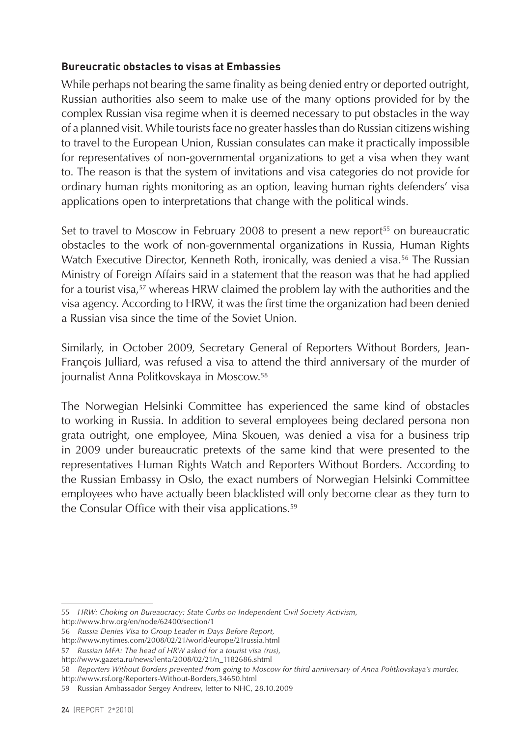#### **Bureucratic obstacles to visas at Embassies**

While perhaps not bearing the same finality as being denied entry or deported outright, Russian authorities also seem to make use of the many options provided for by the complex Russian visa regime when it is deemed necessary to put obstacles in the way of a planned visit. While tourists face no greater hassles than do Russian citizens wishing to travel to the European Union, Russian consulates can make it practically impossible for representatives of non-governmental organizations to get a visa when they want to. The reason is that the system of invitations and visa categories do not provide for ordinary human rights monitoring as an option, leaving human rights defenders' visa applications open to interpretations that change with the political winds.

Set to travel to Moscow in February 2008 to present a new report<sup>55</sup> on bureaucratic obstacles to the work of non-governmental organizations in Russia, Human Rights Watch Executive Director, Kenneth Roth, ironically, was denied a visa.<sup>56</sup> The Russian Ministry of Foreign Affairs said in a statement that the reason was that he had applied for a tourist visa,<sup>57</sup> whereas HRW claimed the problem lay with the authorities and the visa agency. According to HRW, it was the first time the organization had been denied a Russian visa since the time of the Soviet Union.

Similarly, in October 2009, Secretary General of Reporters Without Borders, Jean-François Julliard, was refused a visa to attend the third anniversary of the murder of journalist Anna Politkovskaya in Moscow.58

The Norwegian Helsinki Committee has experienced the same kind of obstacles to working in Russia. In addition to several employees being declared persona non grata outright, one employee, Mina Skouen, was denied a visa for a business trip in 2009 under bureaucratic pretexts of the same kind that were presented to the representatives Human Rights Watch and Reporters Without Borders. According to the Russian Embassy in Oslo, the exact numbers of Norwegian Helsinki Committee employees who have actually been blacklisted will only become clear as they turn to the Consular Office with their visa applications.<sup>59</sup>

<sup>55</sup> *HRW: Choking on Bureaucracy: State Curbs on Independent Civil Society Activism*,

http://www.hrw.org/en/node/62400/section/1

<sup>56</sup> *Russia Denies Visa to Group Leader in Days Before Report,* 

http://www.nytimes.com/2008/02/21/world/europe/21russia.html

<sup>57</sup> *Russian MFA: The head of HRW asked for a tourist visa (rus)*,

http://www.gazeta.ru/news/lenta/2008/02/21/n\_1182686.shtml

<sup>58</sup> *Reporters Without Borders prevented from going to Moscow for third anniversary of Anna Politkovskaya's murder,*  http://www.rsf.org/Reporters-Without-Borders,34650.html

<sup>59</sup> Russian Ambassador Sergey Andreev, letter to NHC, 28.10.2009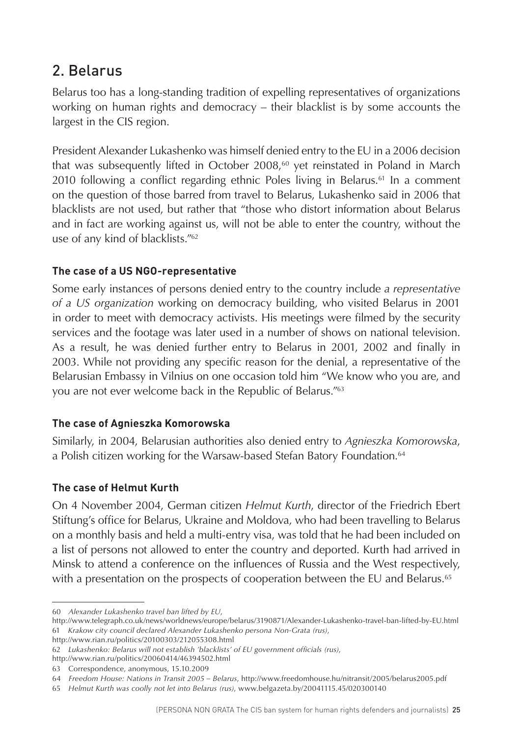### <span id="page-25-0"></span>2. Belarus

Belarus too has a long-standing tradition of expelling representatives of organizations working on human rights and democracy – their blacklist is by some accounts the largest in the CIS region.

President Alexander Lukashenko was himself denied entry to the EU in a 2006 decision that was subsequently lifted in October  $2008,60$  yet reinstated in Poland in March 2010 following a conflict regarding ethnic Poles living in Belarus.<sup>61</sup> In a comment on the question of those barred from travel to Belarus, Lukashenko said in 2006 that blacklists are not used, but rather that "those who distort information about Belarus and in fact are working against us, will not be able to enter the country, without the use of any kind of blacklists."62

#### **The case of a US NGO-representative**

Some early instances of persons denied entry to the country include *a representative of a US organization* working on democracy building, who visited Belarus in 2001 in order to meet with democracy activists. His meetings were filmed by the security services and the footage was later used in a number of shows on national television. As a result, he was denied further entry to Belarus in 2001, 2002 and finally in 2003. While not providing any specific reason for the denial, a representative of the Belarusian Embassy in Vilnius on one occasion told him "We know who you are, and you are not ever welcome back in the Republic of Belarus."63

#### **The case of Agnieszka Komorowska**

Similarly, in 2004, Belarusian authorities also denied entry to *Agnieszka Komorowska*, a Polish citizen working for the Warsaw-based Stefan Batory Foundation.<sup>64</sup>

#### **The case of Helmut Kurth**

On 4 November 2004, German citizen *Helmut Kurth*, director of the Friedrich Ebert Stiftung's office for Belarus, Ukraine and Moldova, who had been travelling to Belarus on a monthly basis and held a multi-entry visa, was told that he had been included on a list of persons not allowed to enter the country and deported. Kurth had arrived in Minsk to attend a conference on the influences of Russia and the West respectively, with a presentation on the prospects of cooperation between the EU and Belarus.<sup>65</sup>

<sup>60</sup> *Alexander Lukashenko travel ban lifted by EU*,

http://www.telegraph.co.uk/news/worldnews/europe/belarus/3190871/Alexander-Lukashenko-travel-ban-lifted-by-EU.html 61 *Krakow city council declared Alexander Lukashenko persona Non-Grata (rus)*,

http://www.rian.ru/politics/20100303/212055308.html

<sup>62</sup> *Lukashenko: Belarus will not establish 'blacklists' of EU government officials (rus)*,

http://www.rian.ru/politics/20060414/46394502.html

<sup>63</sup> Correspondence, anonymous, 15.10.2009

<sup>64</sup> *Freedom House: Nations in Transit 2005 – Belarus*, http://www.freedomhouse.hu/nitransit/2005/belarus2005.pdf

<sup>65</sup> *Helmut Kurth was coolly not let into Belarus (rus)*, www.belgazeta.by/20041115.45/020300140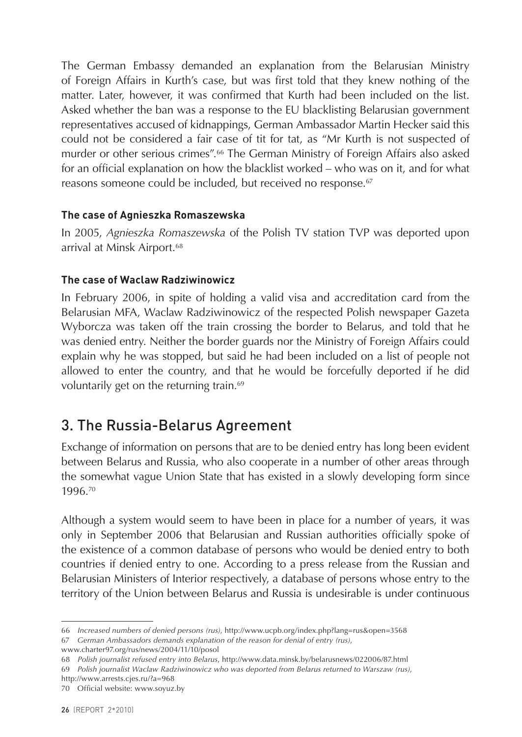<span id="page-26-0"></span>The German Embassy demanded an explanation from the Belarusian Ministry of Foreign Affairs in Kurth's case, but was first told that they knew nothing of the matter. Later, however, it was confirmed that Kurth had been included on the list. Asked whether the ban was a response to the EU blacklisting Belarusian government representatives accused of kidnappings, German Ambassador Martin Hecker said this could not be considered a fair case of tit for tat, as "Mr Kurth is not suspected of murder or other serious crimes".66 The German Ministry of Foreign Affairs also asked for an official explanation on how the blacklist worked – who was on it, and for what reasons someone could be included, but received no response.<sup>67</sup>

#### **The case of Agnieszka Romaszewska**

In 2005, *Agnieszka Romaszewska* of the Polish TV station TVP was deported upon arrival at Minsk Airport.<sup>68</sup>

#### **The case of Waclaw Radziwinowicz**

In February 2006, in spite of holding a valid visa and accreditation card from the Belarusian MFA, Waclaw Radziwinowicz of the respected Polish newspaper Gazeta Wyborcza was taken off the train crossing the border to Belarus, and told that he was denied entry. Neither the border guards nor the Ministry of Foreign Affairs could explain why he was stopped, but said he had been included on a list of people not allowed to enter the country, and that he would be forcefully deported if he did voluntarily get on the returning train.<sup>69</sup>

### 3. The Russia-Belarus Agreement

Exchange of information on persons that are to be denied entry has long been evident between Belarus and Russia, who also cooperate in a number of other areas through the somewhat vague Union State that has existed in a slowly developing form since 1996.70

Although a system would seem to have been in place for a number of years, it was only in September 2006 that Belarusian and Russian authorities officially spoke of the existence of a common database of persons who would be denied entry to both countries if denied entry to one. According to a press release from the Russian and Belarusian Ministers of Interior respectively, a database of persons whose entry to the territory of the Union between Belarus and Russia is undesirable is under continuous

67 *German Ambassadors demands explanation of the reason for denial of entry (rus)*, www.charter97.org/rus/news/2004/11/10/posol

<sup>66</sup> *Increased numbers of denied persons (rus)*, http://www.ucpb.org/index.php?lang=rus&open=3568

<sup>68</sup> *Polish journalist refused entry into Belarus*, http://www.data.minsk.by/belarusnews/022006/87.html

<sup>69</sup> *Polish journalist Waclaw Radziwinowicz who was deported from Belarus returned to Warszaw (rus)*,

http://www.arrests.cjes.ru/?a=968

<sup>70</sup> Official website: [www.soyuz.by](http://www.soyuz.by)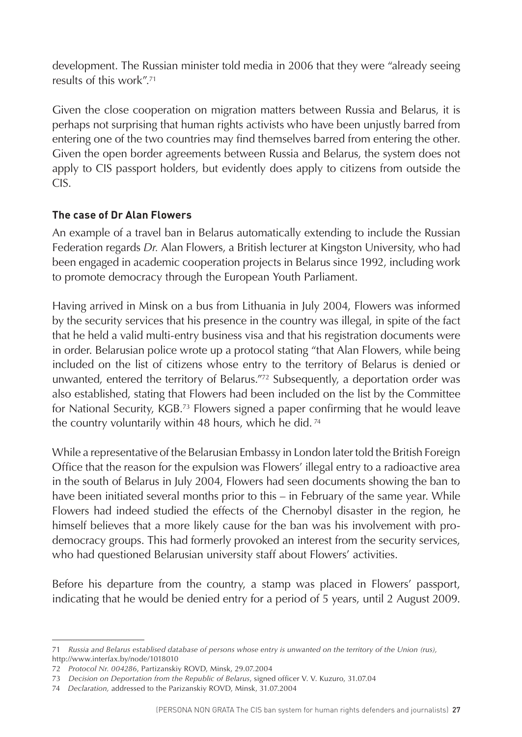development. The Russian minister told media in 2006 that they were "already seeing results of this work".71

Given the close cooperation on migration matters between Russia and Belarus, it is perhaps not surprising that human rights activists who have been unjustly barred from entering one of the two countries may find themselves barred from entering the other. Given the open border agreements between Russia and Belarus, the system does not apply to CIS passport holders, but evidently does apply to citizens from outside the CIS.

#### **The case of Dr Alan Flowers**

An example of a travel ban in Belarus automatically extending to include the Russian Federation regards *Dr.* Alan Flowers, a British lecturer at Kingston University, who had been engaged in academic cooperation projects in Belarus since 1992, including work to promote democracy through the European Youth Parliament.

Having arrived in Minsk on a bus from Lithuania in July 2004, Flowers was informed by the security services that his presence in the country was illegal, in spite of the fact that he held a valid multi-entry business visa and that his registration documents were in order. Belarusian police wrote up a protocol stating "that Alan Flowers, while being included on the list of citizens whose entry to the territory of Belarus is denied or unwanted, entered the territory of Belarus."72 Subsequently, a deportation order was also established, stating that Flowers had been included on the list by the Committee for National Security, KGB.73 Flowers signed a paper confirming that he would leave the country voluntarily within 48 hours, which he did. 74

While a representative of the Belarusian Embassy in London later told the British Foreign Office that the reason for the expulsion was Flowers' illegal entry to a radioactive area in the south of Belarus in July 2004, Flowers had seen documents showing the ban to have been initiated several months prior to this – in February of the same year. While Flowers had indeed studied the effects of the Chernobyl disaster in the region, he himself believes that a more likely cause for the ban was his involvement with prodemocracy groups. This had formerly provoked an interest from the security services, who had questioned Belarusian university staff about Flowers' activities.

Before his departure from the country, a stamp was placed in Flowers' passport, indicating that he would be denied entry for a period of 5 years, until 2 August 2009.

<sup>71</sup> *Russia and Belarus establised database of persons whose entry is unwanted on the territory of the Union (rus),*  http://www.interfax.by/node/1018010

<sup>72</sup> *Protocol Nr. 004286*, Partizanskiy ROVD, Minsk, 29.07.2004

<sup>73</sup> *Decision on Deportation from the Republic of Belarus*, signed officer V. V. Kuzuro, 31.07.04

<sup>74</sup> *Declaration,* addressed to the Parizanskiy ROVD, Minsk, 31.07.2004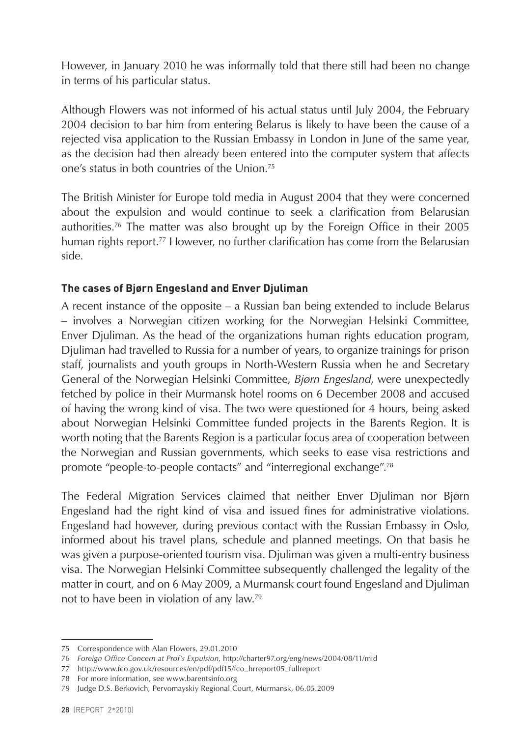However, in January 2010 he was informally told that there still had been no change in terms of his particular status.

Although Flowers was not informed of his actual status until July 2004, the February 2004 decision to bar him from entering Belarus is likely to have been the cause of a rejected visa application to the Russian Embassy in London in June of the same year, as the decision had then already been entered into the computer system that affects one's status in both countries of the Union.75

The British Minister for Europe told media in August 2004 that they were concerned about the expulsion and would continue to seek a clarification from Belarusian authorities.76 The matter was also brought up by the Foreign Office in their 2005 human rights report.<sup>77</sup> However, no further clarification has come from the Belarusian side.

#### **The cases of Bjørn Engesland and Enver Djuliman**

A recent instance of the opposite – a Russian ban being extended to include Belarus – involves a Norwegian citizen working for the Norwegian Helsinki Committee, Enver Djuliman. As the head of the organizations human rights education program, Djuliman had travelled to Russia for a number of years, to organize trainings for prison staff, journalists and youth groups in North-Western Russia when he and Secretary General of the Norwegian Helsinki Committee, *Bjørn Engesland*, were unexpectedly fetched by police in their Murmansk hotel rooms on 6 December 2008 and accused of having the wrong kind of visa. The two were questioned for 4 hours, being asked about Norwegian Helsinki Committee funded projects in the Barents Region. It is worth noting that the Barents Region is a particular focus area of cooperation between the Norwegian and Russian governments, which seeks to ease visa restrictions and promote "people-to-people contacts" and "interregional exchange".78

The Federal Migration Services claimed that neither Enver Djuliman nor Bjørn Engesland had the right kind of visa and issued fines for administrative violations. Engesland had however, during previous contact with the Russian Embassy in Oslo, informed about his travel plans, schedule and planned meetings. On that basis he was given a purpose-oriented tourism visa. Djuliman was given a multi-entry business visa. The Norwegian Helsinki Committee subsequently challenged the legality of the matter in court, and on 6 May 2009, a Murmansk court found Engesland and Djuliman not to have been in violation of any law.79

<sup>75</sup> Correspondence with Alan Flowers, 29.01.2010

<sup>76</sup> *Foreign Office Concern at Prof's Expulsion*, http://charter97.org/eng/news/2004/08/11/mid

<sup>77</sup> http://www.fco.gov.uk/resources/en/pdf/pdf15/fco\_hrreport05\_fullreport

<sup>78</sup> For more information, see www.barentsinfo.org

<sup>79</sup> Judge D.S. Berkovich, Pervomayskiy Regional Court, Murmansk, 06.05.2009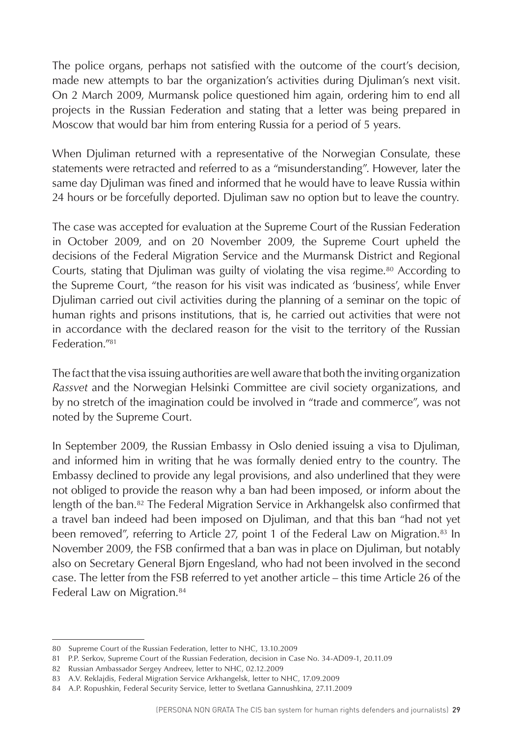The police organs, perhaps not satisfied with the outcome of the court's decision, made new attempts to bar the organization's activities during Djuliman's next visit. On 2 March 2009, Murmansk police questioned him again, ordering him to end all projects in the Russian Federation and stating that a letter was being prepared in Moscow that would bar him from entering Russia for a period of 5 years.

When Djuliman returned with a representative of the Norwegian Consulate, these statements were retracted and referred to as a "misunderstanding". However, later the same day Djuliman was fined and informed that he would have to leave Russia within 24 hours or be forcefully deported. Djuliman saw no option but to leave the country.

The case was accepted for evaluation at the Supreme Court of the Russian Federation in October 2009, and on 20 November 2009, the Supreme Court upheld the decisions of the Federal Migration Service and the Murmansk District and Regional Courts, stating that Djuliman was guilty of violating the visa regime.<sup>80</sup> According to the Supreme Court, "the reason for his visit was indicated as 'business', while Enver Djuliman carried out civil activities during the planning of a seminar on the topic of human rights and prisons institutions, that is, he carried out activities that were not in accordance with the declared reason for the visit to the territory of the Russian Federation<sup>"81</sup>

The fact that the visa issuing authorities are well aware that both the inviting organization *Rassvet* and the Norwegian Helsinki Committee are civil society organizations, and by no stretch of the imagination could be involved in "trade and commerce", was not noted by the Supreme Court.

In September 2009, the Russian Embassy in Oslo denied issuing a visa to Djuliman, and informed him in writing that he was formally denied entry to the country. The Embassy declined to provide any legal provisions, and also underlined that they were not obliged to provide the reason why a ban had been imposed, or inform about the length of the ban.<sup>82</sup> The Federal Migration Service in Arkhangelsk also confirmed that a travel ban indeed had been imposed on Djuliman, and that this ban "had not yet been removed", referring to Article 27, point 1 of the Federal Law on Migration.<sup>83</sup> In November 2009, the FSB confirmed that a ban was in place on Djuliman, but notably also on Secretary General Bjørn Engesland, who had not been involved in the second case. The letter from the FSB referred to yet another article – this time Article 26 of the Federal Law on Migration.<sup>84</sup>

<sup>80</sup> Supreme Court of the Russian Federation, letter to NHC, 13.10.2009

<sup>81</sup> P.P. Serkov, Supreme Court of the Russian Federation, decision in Case No. 34-AD09-1, 20.11.09

<sup>82</sup> Russian Ambassador Sergey Andreev, letter to NHC, 02.12.2009

<sup>83</sup> A.V. Reklajdis, Federal Migration Service Arkhangelsk, letter to NHC, 17.09.2009

<sup>84</sup> A.P. Ropushkin, Federal Security Service, letter to Svetlana Gannushkina, 27.11.2009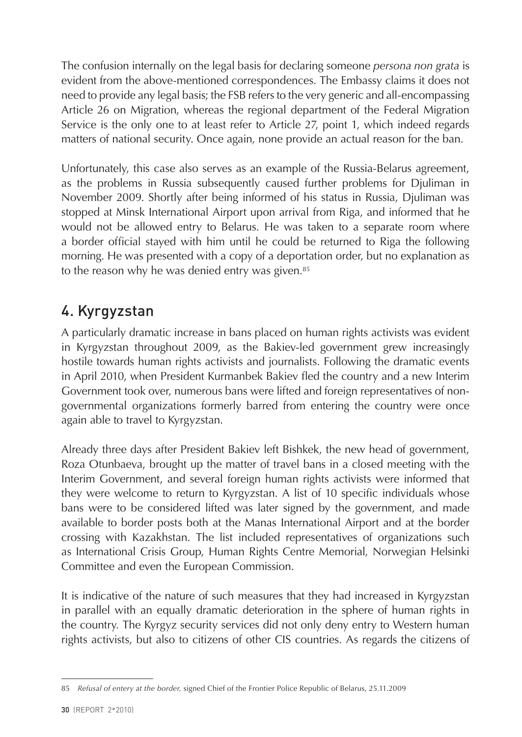<span id="page-30-0"></span>The confusion internally on the legal basis for declaring someone *persona non grata* is evident from the above-mentioned correspondences. The Embassy claims it does not need to provide any legal basis; the FSB refers to the very generic and all-encompassing Article 26 on Migration, whereas the regional department of the Federal Migration Service is the only one to at least refer to Article 27, point 1, which indeed regards matters of national security. Once again, none provide an actual reason for the ban.

Unfortunately, this case also serves as an example of the Russia-Belarus agreement, as the problems in Russia subsequently caused further problems for Djuliman in November 2009. Shortly after being informed of his status in Russia, Djuliman was stopped at Minsk International Airport upon arrival from Riga, and informed that he would not be allowed entry to Belarus. He was taken to a separate room where a border official stayed with him until he could be returned to Riga the following morning. He was presented with a copy of a deportation order, but no explanation as to the reason why he was denied entry was given.<sup>85</sup>

# 4. Kyrgyzstan

A particularly dramatic increase in bans placed on human rights activists was evident in Kyrgyzstan throughout 2009, as the Bakiev-led government grew increasingly hostile towards human rights activists and journalists. Following the dramatic events in April 2010, when President Kurmanbek Bakiev fled the country and a new Interim Government took over, numerous bans were lifted and foreign representatives of nongovernmental organizations formerly barred from entering the country were once again able to travel to Kyrgyzstan.

Already three days after President Bakiev left Bishkek, the new head of government, Roza Otunbaeva, brought up the matter of travel bans in a closed meeting with the Interim Government, and several foreign human rights activists were informed that they were welcome to return to Kyrgyzstan. A list of 10 specific individuals whose bans were to be considered lifted was later signed by the government, and made available to border posts both at the Manas International Airport and at the border crossing with Kazakhstan. The list included representatives of organizations such as International Crisis Group, Human Rights Centre Memorial, Norwegian Helsinki Committee and even the European Commission.

It is indicative of the nature of such measures that they had increased in Kyrgyzstan in parallel with an equally dramatic deterioration in the sphere of human rights in the country. The Kyrgyz security services did not only deny entry to Western human rights activists, but also to citizens of other CIS countries. As regards the citizens of

<sup>85</sup> *Refusal of entery at the border,* signed Chief of the Frontier Police Republic of Belarus, 25.11.2009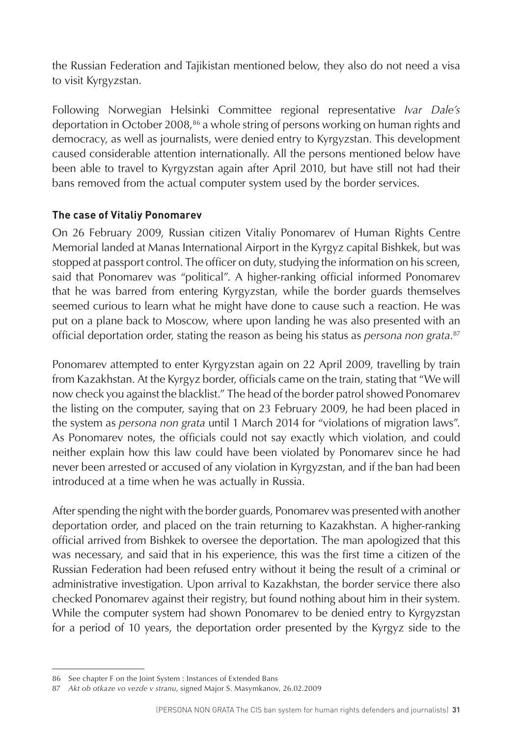the Russian Federation and Tajikistan mentioned below, they also do not need a visa to visit Kyrgyzstan.

Following Norwegian Helsinki Committee regional representative *Ivar Dale's* deportation in October 2008,86 a whole string of persons working on human rights and democracy, as well as journalists, were denied entry to Kyrgyzstan. This development caused considerable attention internationally. All the persons mentioned below have been able to travel to Kyrgyzstan again after April 2010, but have still not had their bans removed from the actual computer system used by the border services.

#### **The case of Vitaliy Ponomarev**

On 26 February 2009, Russian citizen Vitaliy Ponomarev of Human Rights Centre Memorial landed at Manas International Airport in the Kyrgyz capital Bishkek, but was stopped at passport control. The officer on duty, studying the information on his screen, said that Ponomarev was "political". A higher-ranking official informed Ponomarev that he was barred from entering Kyrgyzstan, while the border guards themselves seemed curious to learn what he might have done to cause such a reaction. He was put on a plane back to Moscow, where upon landing he was also presented with an official deportation order, stating the reason as being his status as *persona non grata*. 87

Ponomarev attempted to enter Kyrgyzstan again on 22 April 2009, travelling by train from Kazakhstan. At the Kyrgyz border, officials came on the train, stating that "We will now check you against the blacklist." The head of the border patrol showed Ponomarev the listing on the computer, saying that on 23 February 2009, he had been placed in the system as *persona non grata* until 1 March 2014 for "violations of migration laws". As Ponomarev notes, the officials could not say exactly which violation, and could neither explain how this law could have been violated by Ponomarev since he had never been arrested or accused of any violation in Kyrgyzstan, and if the ban had been introduced at a time when he was actually in Russia.

After spending the night with the border guards, Ponomarev was presented with another deportation order, and placed on the train returning to Kazakhstan. A higher-ranking official arrived from Bishkek to oversee the deportation. The man apologized that this was necessary, and said that in his experience, this was the first time a citizen of the Russian Federation had been refused entry without it being the result of a criminal or administrative investigation. Upon arrival to Kazakhstan, the border service there also checked Ponomarev against their registry, but found nothing about him in their system. While the computer system had shown Ponomarev to be denied entry to Kyrgyzstan for a period of 10 years, the deportation order presented by the Kyrgyz side to the

<sup>86</sup> See chapter F on the Joint System : Instances of Extended Bans

<sup>87</sup> *Akt ob otkaze vo vezde v stranu*, signed Major S. Masymkanov, 26.02.2009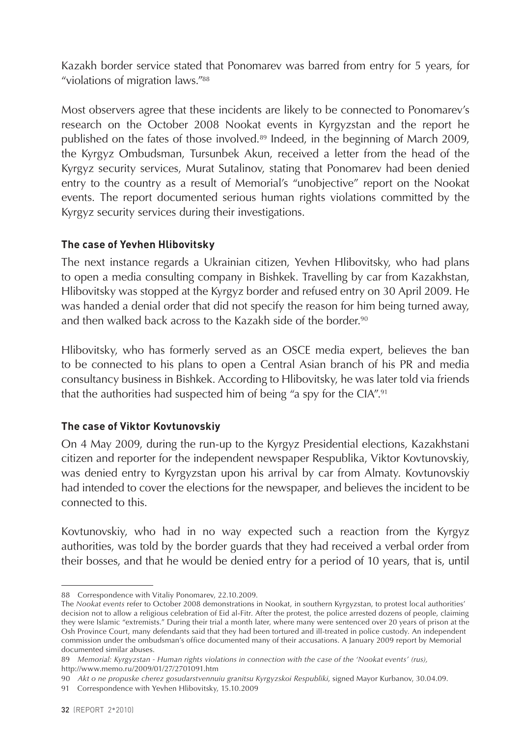Kazakh border service stated that Ponomarev was barred from entry for 5 years, for "violations of migration laws."88

Most observers agree that these incidents are likely to be connected to Ponomarev's research on the October 2008 Nookat events in Kyrgyzstan and the report he published on the fates of those involved.<sup>89</sup> Indeed, in the beginning of March 2009, the Kyrgyz Ombudsman, Tursunbek Akun, received a letter from the head of the Kyrgyz security services, Murat Sutalinov, stating that Ponomarev had been denied entry to the country as a result of Memorial's "unobjective" report on the Nookat events. The report documented serious human rights violations committed by the Kyrgyz security services during their investigations.

#### **The case of Yevhen Hlibovitsky**

The next instance regards a Ukrainian citizen, Yevhen Hlibovitsky, who had plans to open a media consulting company in Bishkek. Travelling by car from Kazakhstan, Hlibovitsky was stopped at the Kyrgyz border and refused entry on 30 April 2009. He was handed a denial order that did not specify the reason for him being turned away, and then walked back across to the Kazakh side of the border.<sup>90</sup>

Hlibovitsky, who has formerly served as an OSCE media expert, believes the ban to be connected to his plans to open a Central Asian branch of his PR and media consultancy business in Bishkek. According to Hlibovitsky, he was later told via friends that the authorities had suspected him of being "a spy for the CIA".91

#### **The case of Viktor Kovtunovskiy**

On 4 May 2009, during the run-up to the Kyrgyz Presidential elections, Kazakhstani citizen and reporter for the independent newspaper Respublika, Viktor Kovtunovskiy, was denied entry to Kyrgyzstan upon his arrival by car from Almaty. Kovtunovskiy had intended to cover the elections for the newspaper, and believes the incident to be connected to this.

Kovtunovskiy, who had in no way expected such a reaction from the Kyrgyz authorities, was told by the border guards that they had received a verbal order from their bosses, and that he would be denied entry for a period of 10 years, that is, until

<sup>88</sup> Correspondence with Vitaliy Ponomarev, 22.10.2009.

The *Nookat events* refer to October 2008 demonstrations in Nookat, in southern Kyrgyzstan, to protest local authorities' decision not to allow a religious celebration of Eid al-Fitr. After the protest, the police arrested dozens of people, claiming they were Islamic "extremists." During their trial a month later, where many were sentenced over 20 years of prison at the Osh Province Court, many defendants said that they had been tortured and ill-treated in police custody. An independent commission under the ombudsman's office documented many of their accusations. A January 2009 report by Memorial documented similar abuses.

<sup>89</sup> *Memorial: Kyrgyzstan - Human rights violations in connection with the case of the 'Nookat events' (rus),*  http://www.memo.ru/2009/01/27/2701091.htm

<sup>90</sup> *Akt o ne propuske cherez gosudarstvennuiu granitsu Kyrgyzskoi Respubliki*, signed Mayor Kurbanov, 30.04.09.

<sup>91</sup> Correspondence with Yevhen Hlibovitsky, 15.10.2009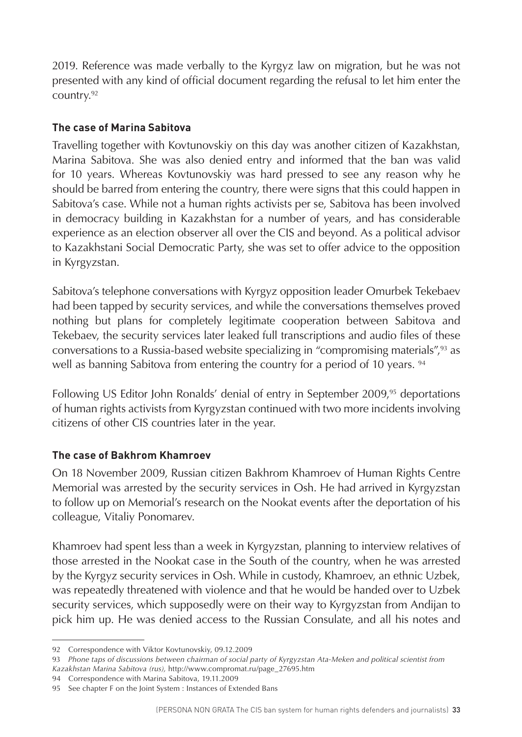2019. Reference was made verbally to the Kyrgyz law on migration, but he was not presented with any kind of official document regarding the refusal to let him enter the country.92

#### **The case of Marina Sabitova**

Travelling together with Kovtunovskiy on this day was another citizen of Kazakhstan, Marina Sabitova. She was also denied entry and informed that the ban was valid for 10 years. Whereas Kovtunovskiy was hard pressed to see any reason why he should be barred from entering the country, there were signs that this could happen in Sabitova's case. While not a human rights activists per se, Sabitova has been involved in democracy building in Kazakhstan for a number of years, and has considerable experience as an election observer all over the CIS and beyond. As a political advisor to Kazakhstani Social Democratic Party, she was set to offer advice to the opposition in Kyrgyzstan.

Sabitova's telephone conversations with Kyrgyz opposition leader Omurbek Tekebaev had been tapped by security services, and while the conversations themselves proved nothing but plans for completely legitimate cooperation between Sabitova and Tekebaev, the security services later leaked full transcriptions and audio files of these conversations to a Russia-based website specializing in "compromising materials",93 as well as banning Sabitova from entering the country for a period of 10 years. <sup>94</sup>

Following US Editor John Ronalds' denial of entry in September 2009,<sup>95</sup> deportations of human rights activists from Kyrgyzstan continued with two more incidents involving citizens of other CIS countries later in the year.

#### **The case of Bakhrom Khamroev**

On 18 November 2009, Russian citizen Bakhrom Khamroev of Human Rights Centre Memorial was arrested by the security services in Osh. He had arrived in Kyrgyzstan to follow up on Memorial's research on the Nookat events after the deportation of his colleague, Vitaliy Ponomarev.

Khamroev had spent less than a week in Kyrgyzstan, planning to interview relatives of those arrested in the Nookat case in the South of the country, when he was arrested by the Kyrgyz security services in Osh. While in custody, Khamroev, an ethnic Uzbek, was repeatedly threatened with violence and that he would be handed over to Uzbek security services, which supposedly were on their way to Kyrgyzstan from Andijan to pick him up. He was denied access to the Russian Consulate, and all his notes and

<sup>92</sup> Correspondence with Viktor Kovtunovskiy, 09.12.2009

<sup>93</sup> *Phone taps of discussions between chairman of social party of Kyrgyzstan Ata-Meken and political scientist from Kazakhstan Marina Sabitova (rus),* http://www.compromat.ru/page\_27695.htm

<sup>94</sup> Correspondence with Marina Sabitova, 19.11.2009

<sup>95</sup> See chapter F on the Joint System : Instances of Extended Bans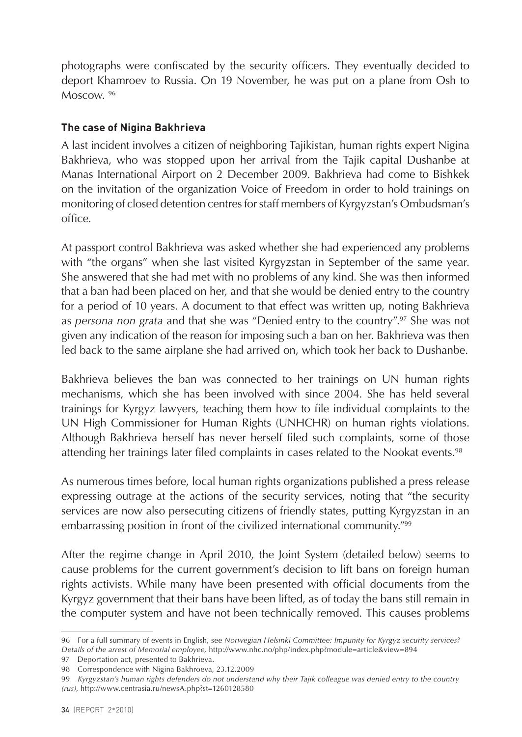photographs were confiscated by the security officers. They eventually decided to deport Khamroev to Russia. On 19 November, he was put on a plane from Osh to Moscow<sup>96</sup>

#### **The case of Nigina Bakhrieva**

A last incident involves a citizen of neighboring Tajikistan, human rights expert Nigina Bakhrieva, who was stopped upon her arrival from the Tajik capital Dushanbe at Manas International Airport on 2 December 2009. Bakhrieva had come to Bishkek on the invitation of the organization Voice of Freedom in order to hold trainings on monitoring of closed detention centres for staff members of Kyrgyzstan's Ombudsman's office.

At passport control Bakhrieva was asked whether she had experienced any problems with "the organs" when she last visited Kyrgyzstan in September of the same year. She answered that she had met with no problems of any kind. She was then informed that a ban had been placed on her, and that she would be denied entry to the country for a period of 10 years. A document to that effect was written up, noting Bakhrieva as *persona non grata* and that she was "Denied entry to the country".97 She was not given any indication of the reason for imposing such a ban on her. Bakhrieva was then led back to the same airplane she had arrived on, which took her back to Dushanbe.

Bakhrieva believes the ban was connected to her trainings on UN human rights mechanisms, which she has been involved with since 2004. She has held several trainings for Kyrgyz lawyers, teaching them how to file individual complaints to the UN High Commissioner for Human Rights (UNHCHR) on human rights violations. Although Bakhrieva herself has never herself filed such complaints, some of those attending her trainings later filed complaints in cases related to the Nookat events.<sup>98</sup>

As numerous times before, local human rights organizations published a press release expressing outrage at the actions of the security services, noting that "the security services are now also persecuting citizens of friendly states, putting Kyrgyzstan in an embarrassing position in front of the civilized international community."99

After the regime change in April 2010, the Joint System (detailed below) seems to cause problems for the current government's decision to lift bans on foreign human rights activists. While many have been presented with official documents from the Kyrgyz government that their bans have been lifted, as of today the bans still remain in the computer system and have not been technically removed. This causes problems

<sup>96</sup> For a full summary of events in English, see *Norwegian Helsinki Committee: Impunity for Kyrgyz security services? Details of the arrest of Memorial employee,* http://www.nhc.no/php/index.php?module=article&view=894

<sup>97</sup> Deportation act, presented to Bakhrieva.

<sup>98</sup> Correspondence with Nigina Bakhroeva, 23.12.2009

<sup>99</sup> *Kyrgyzstan's human rights defenders do not understand why their Tajik colleague was denied entry to the country (rus)*, http://www.centrasia.ru/newsA.php?st=1260128580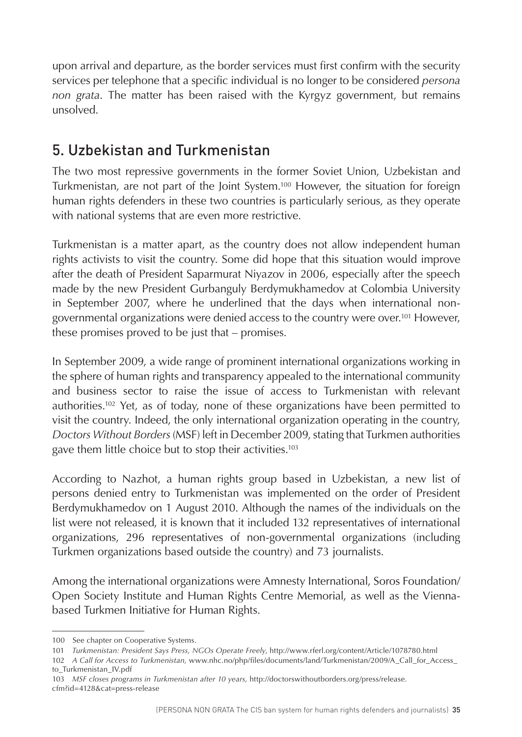<span id="page-35-0"></span>upon arrival and departure, as the border services must first confirm with the security services per telephone that a specific individual is no longer to be considered *persona non grata*. The matter has been raised with the Kyrgyz government, but remains unsolved.

# 5. Uzbekistan and Turkmenistan

The two most repressive governments in the former Soviet Union, Uzbekistan and Turkmenistan, are not part of the Joint System.100 However, the situation for foreign human rights defenders in these two countries is particularly serious, as they operate with national systems that are even more restrictive.

Turkmenistan is a matter apart, as the country does not allow independent human rights activists to visit the country. Some did hope that this situation would improve after the death of President Saparmurat Niyazov in 2006, especially after the speech made by the new President Gurbanguly Berdymukhamedov at Colombia University in September 2007, where he underlined that the days when international nongovernmental organizations were denied access to the country were over.101 However, these promises proved to be just that – promises.

In September 2009, a wide range of prominent international organizations working in the sphere of human rights and transparency appealed to the international community and business sector to raise the issue of access to Turkmenistan with relevant authorities.102 Yet, as of today, none of these organizations have been permitted to visit the country. Indeed, the only international organization operating in the country, *Doctors Without Borders* (MSF) left in December 2009, stating that Turkmen authorities gave them little choice but to stop their activities.<sup>103</sup>

According to Nazhot, a human rights group based in Uzbekistan, a new list of persons denied entry to Turkmenistan was implemented on the order of President Berdymukhamedov on 1 August 2010. Although the names of the individuals on the list were not released, it is known that it included 132 representatives of international organizations, 296 representatives of non-governmental organizations (including Turkmen organizations based outside the country) and 73 journalists.

Among the international organizations were Amnesty International, Soros Foundation/ Open Society Institute and Human Rights Centre Memorial, as well as the Viennabased Turkmen Initiative for Human Rights.

103 *MSF closes programs in Turkmenistan after 10 years,* http://doctorswithoutborders.org/press/release. cfm?id=4128&cat=press-release

<sup>100</sup> See chapter on Cooperative Systems.

<sup>101</sup> *Turkmenistan: President Says Press, NGOs Operate Freely*, http://www.rferl.org/content/Article/1078780.html

<sup>102</sup> *A Call for Access to Turkmenistan,* www.nhc.no/php/files/documents/land/Turkmenistan/2009/A\_Call\_for\_Access\_ to\_Turkmenistan\_IV.pdf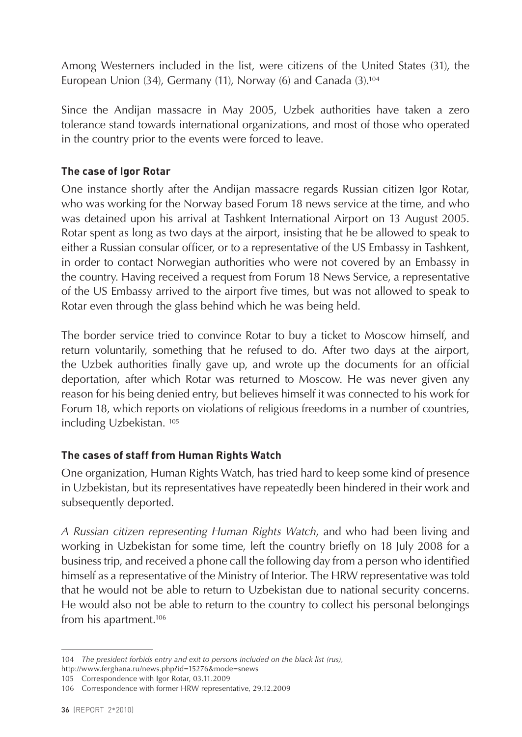Among Westerners included in the list, were citizens of the United States (31), the European Union (34), Germany (11), Norway (6) and Canada (3).104

Since the Andijan massacre in May 2005, Uzbek authorities have taken a zero tolerance stand towards international organizations, and most of those who operated in the country prior to the events were forced to leave.

#### **The case of Igor Rotar**

One instance shortly after the Andijan massacre regards Russian citizen Igor Rotar, who was working for the Norway based Forum 18 news service at the time, and who was detained upon his arrival at Tashkent International Airport on 13 August 2005. Rotar spent as long as two days at the airport, insisting that he be allowed to speak to either a Russian consular officer, or to a representative of the US Embassy in Tashkent, in order to contact Norwegian authorities who were not covered by an Embassy in the country. Having received a request from Forum 18 News Service, a representative of the US Embassy arrived to the airport five times, but was not allowed to speak to Rotar even through the glass behind which he was being held.

The border service tried to convince Rotar to buy a ticket to Moscow himself, and return voluntarily, something that he refused to do. After two days at the airport, the Uzbek authorities finally gave up, and wrote up the documents for an official deportation, after which Rotar was returned to Moscow. He was never given any reason for his being denied entry, but believes himself it was connected to his work for Forum 18, which reports on violations of religious freedoms in a number of countries, including Uzbekistan. 105

#### **The cases of staff from Human Rights Watch**

One organization, Human Rights Watch, has tried hard to keep some kind of presence in Uzbekistan, but its representatives have repeatedly been hindered in their work and subsequently deported.

*A Russian citizen representing Human Rights Watch*, and who had been living and working in Uzbekistan for some time, left the country briefly on 18 July 2008 for a business trip, and received a phone call the following day from a person who identified himself as a representative of the Ministry of Interior. The HRW representative was told that he would not be able to return to Uzbekistan due to national security concerns. He would also not be able to return to the country to collect his personal belongings from his apartment.106

<sup>104</sup> *The president forbids entry and exit to persons included on the black list (rus),*  http://www.ferghana.ru/news.php?id=15276&mode=snews

<sup>105</sup> Correspondence with Igor Rotar, 03.11.2009

<sup>106</sup> Correspondence with former HRW representative, 29.12.2009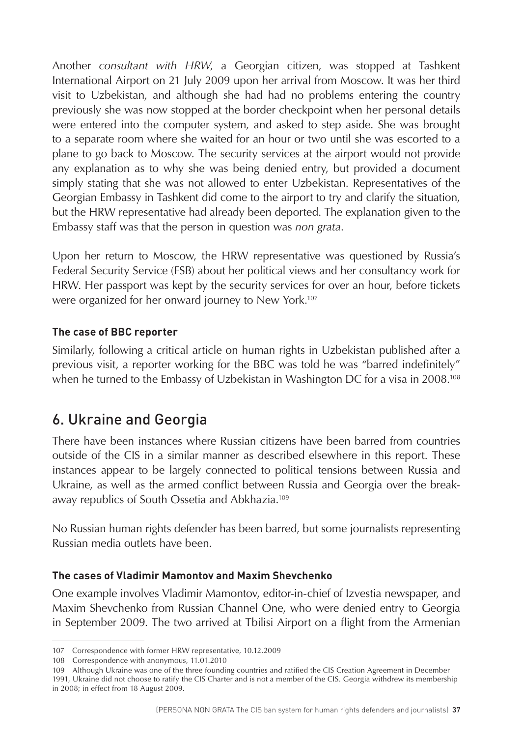<span id="page-37-0"></span>Another *consultant with HRW*, a Georgian citizen, was stopped at Tashkent International Airport on 21 July 2009 upon her arrival from Moscow. It was her third visit to Uzbekistan, and although she had had no problems entering the country previously she was now stopped at the border checkpoint when her personal details were entered into the computer system, and asked to step aside. She was brought to a separate room where she waited for an hour or two until she was escorted to a plane to go back to Moscow. The security services at the airport would not provide any explanation as to why she was being denied entry, but provided a document simply stating that she was not allowed to enter Uzbekistan. Representatives of the Georgian Embassy in Tashkent did come to the airport to try and clarify the situation, but the HRW representative had already been deported. The explanation given to the Embassy staff was that the person in question was *non grata*.

Upon her return to Moscow, the HRW representative was questioned by Russia's Federal Security Service (FSB) about her political views and her consultancy work for HRW. Her passport was kept by the security services for over an hour, before tickets were organized for her onward journey to New York.107

#### **The case of BBC reporter**

Similarly, following a critical article on human rights in Uzbekistan published after a previous visit, a reporter working for the BBC was told he was "barred indefinitely" when he turned to the Embassy of Uzbekistan in Washington DC for a visa in 2008.<sup>108</sup>

# 6. Ukraine and Georgia

There have been instances where Russian citizens have been barred from countries outside of the CIS in a similar manner as described elsewhere in this report. These instances appear to be largely connected to political tensions between Russia and Ukraine, as well as the armed conflict between Russia and Georgia over the breakaway republics of South Ossetia and Abkhazia.109

No Russian human rights defender has been barred, but some journalists representing Russian media outlets have been.

#### **The cases of Vladimir Mamontov and Maxim Shevchenko**

One example involves Vladimir Mamontov, editor-in-chief of Izvestia newspaper, and Maxim Shevchenko from Russian Channel One, who were denied entry to Georgia in September 2009. The two arrived at Tbilisi Airport on a flight from the Armenian

<sup>107</sup> Correspondence with former HRW representative, 10.12.2009

<sup>108</sup> Correspondence with anonymous, 11.01.2010

<sup>109</sup> Although Ukraine was one of the three founding countries and ratified the CIS Creation Agreement in December 1991, Ukraine did not choose to ratify the CIS Charter and is not a member of the CIS. Georgia withdrew its membership in 2008; in effect from 18 August 2009.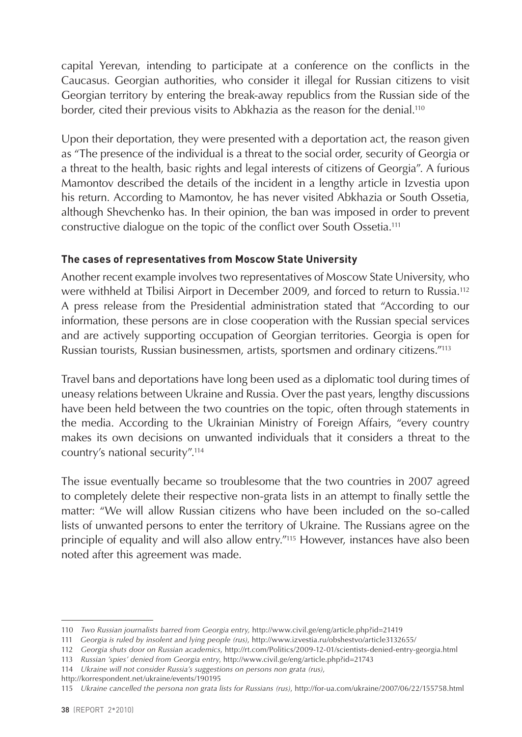capital Yerevan, intending to participate at a conference on the conflicts in the Caucasus. Georgian authorities, who consider it illegal for Russian citizens to visit Georgian territory by entering the break-away republics from the Russian side of the border, cited their previous visits to Abkhazia as the reason for the denial.<sup>110</sup>

Upon their deportation, they were presented with a deportation act, the reason given as "The presence of the individual is a threat to the social order, security of Georgia or a threat to the health, basic rights and legal interests of citizens of Georgia". A furious Mamontov described the details of the incident in a lengthy article in Izvestia upon his return. According to Mamontov, he has never visited Abkhazia or South Ossetia, although Shevchenko has. In their opinion, the ban was imposed in order to prevent constructive dialogue on the topic of the conflict over South Ossetia.111

#### **The cases of representatives from Moscow State University**

Another recent example involves two representatives of Moscow State University, who were withheld at Tbilisi Airport in December 2009, and forced to return to Russia.112 A press release from the Presidential administration stated that "According to our information, these persons are in close cooperation with the Russian special services and are actively supporting occupation of Georgian territories. Georgia is open for Russian tourists, Russian businessmen, artists, sportsmen and ordinary citizens."113

Travel bans and deportations have long been used as a diplomatic tool during times of uneasy relations between Ukraine and Russia. Over the past years, lengthy discussions have been held between the two countries on the topic, often through statements in the media. According to the Ukrainian Ministry of Foreign Affairs, "every country makes its own decisions on unwanted individuals that it considers a threat to the country's national security".114

The issue eventually became so troublesome that the two countries in 2007 agreed to completely delete their respective non-grata lists in an attempt to finally settle the matter: "We will allow Russian citizens who have been included on the so-called lists of unwanted persons to enter the territory of Ukraine. The Russians agree on the principle of equality and will also allow entry."115 However, instances have also been noted after this agreement was made.

<sup>110</sup> *Two Russian journalists barred from Georgia entry,* http://www.civil.ge/eng/article.php?id=21419

<sup>111</sup> *Georgia is ruled by insolent and lying people (rus)*, http://www.izvestia.ru/obshestvo/article3132655/

<sup>112</sup> *Georgia shuts door on Russian academics*, <http://rt.com/Politics/2009-12-01/scientists-denied-entry-georgia.html>

<sup>113</sup> *Russian 'spies' denied from Georgia entry*,<http://www.civil.ge/eng/article.php?id=21743>

<sup>114</sup> *Ukraine will not consider Russia's suggestions on persons non grata (rus)*,

http://korrespondent.net/ukraine/events/190195

<sup>115</sup> *Ukraine cancelled the persona non grata lists for Russians (rus)*, http://for-ua.com/ukraine/2007/06/22/155758.html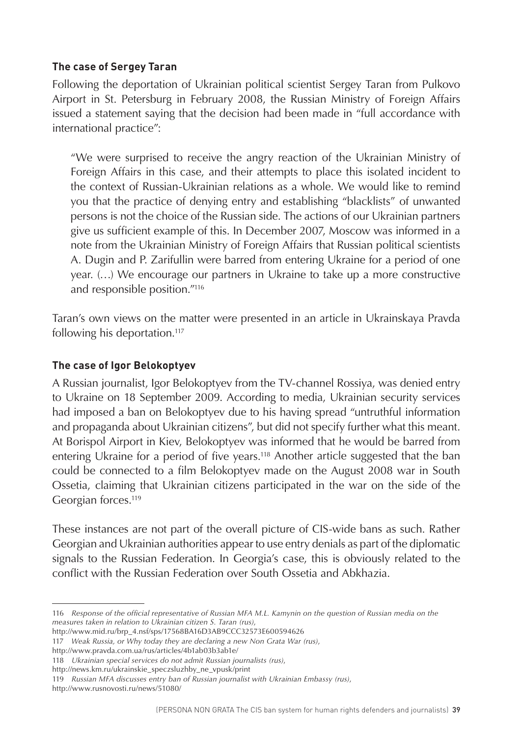#### **The case of Sergey Taran**

Following the deportation of Ukrainian political scientist Sergey Taran from Pulkovo Airport in St. Petersburg in February 2008, the Russian Ministry of Foreign Affairs issued a statement saying that the decision had been made in "full accordance with international practice":

"We were surprised to receive the angry reaction of the Ukrainian Ministry of Foreign Affairs in this case, and their attempts to place this isolated incident to the context of Russian-Ukrainian relations as a whole. We would like to remind you that the practice of denying entry and establishing "blacklists" of unwanted persons is not the choice of the Russian side. The actions of our Ukrainian partners give us sufficient example of this. In December 2007, Moscow was informed in a note from the Ukrainian Ministry of Foreign Affairs that Russian political scientists A. Dugin and P. Zarifullin were barred from entering Ukraine for a period of one year. (…) We encourage our partners in Ukraine to take up a more constructive and responsible position."116

Taran's own views on the matter were presented in an article in Ukrainskaya Pravda following his deportation.117

#### **The case of Igor Belokoptyev**

A Russian journalist, Igor Belokoptyev from the TV-channel Rossiya, was denied entry to Ukraine on 18 September 2009. According to media, Ukrainian security services had imposed a ban on Belokoptyev due to his having spread "untruthful information and propaganda about Ukrainian citizens", but did not specify further what this meant. At Borispol Airport in Kiev, Belokoptyev was informed that he would be barred from entering Ukraine for a period of five years.<sup>118</sup> Another article suggested that the ban could be connected to a film Belokoptyev made on the August 2008 war in South Ossetia, claiming that Ukrainian citizens participated in the war on the side of the Georgian forces.119

These instances are not part of the overall picture of CIS-wide bans as such. Rather Georgian and Ukrainian authorities appear to use entry denials as part of the diplomatic signals to the Russian Federation. In Georgia's case, this is obviously related to the conflict with the Russian Federation over South Ossetia and Abkhazia.

http://www.pravda.com.ua/rus/articles/4b1ab03b3ab1e/

http://www.rusnovosti.ru/news/51080/

<sup>116</sup> *Response of the official representative of Russian MFA M.L. Kamynin on the question of Russian media on the measures taken in relation to Ukrainian citizen S. Taran (rus)*,

http://www.mid.ru/brp\_4.nsf/sps/17568BA16D3AB9CCC32573E600594626

<sup>117</sup> *Weak Russia, or Why today they are declaring a new Non Grata War (rus)*,

<sup>118</sup> *Ukrainian special services do not admit Russian journalists (rus)*,

http://news.km.ru/ukrainskie\_speczsluzhby\_ne\_vpusk/print

<sup>119</sup> *Russian MFA discusses entry ban of Russian journalist with Ukrainian Embassy (rus)*,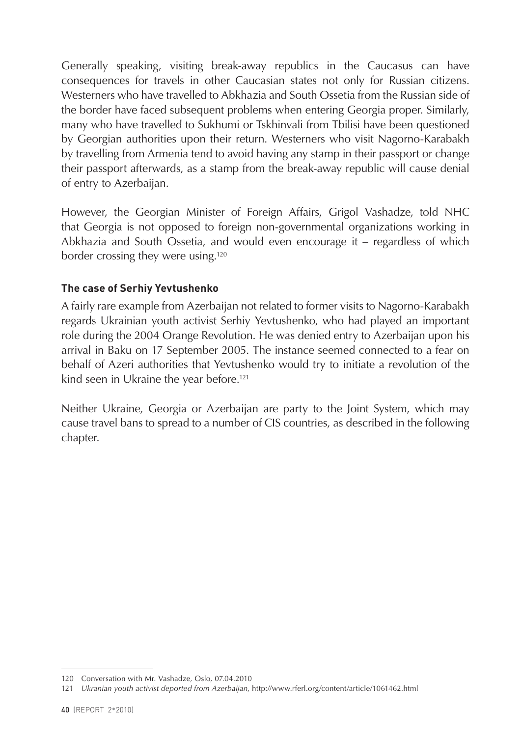Generally speaking, visiting break-away republics in the Caucasus can have consequences for travels in other Caucasian states not only for Russian citizens. Westerners who have travelled to Abkhazia and South Ossetia from the Russian side of the border have faced subsequent problems when entering Georgia proper. Similarly, many who have travelled to Sukhumi or Tskhinvali from Tbilisi have been questioned by Georgian authorities upon their return. Westerners who visit Nagorno-Karabakh by travelling from Armenia tend to avoid having any stamp in their passport or change their passport afterwards, as a stamp from the break-away republic will cause denial of entry to Azerbaijan.

However, the Georgian Minister of Foreign Affairs, Grigol Vashadze, told NHC that Georgia is not opposed to foreign non-governmental organizations working in Abkhazia and South Ossetia, and would even encourage it – regardless of which border crossing they were using.120

#### **The case of Serhiy Yevtushenko**

A fairly rare example from Azerbaijan not related to former visits to Nagorno-Karabakh regards Ukrainian youth activist Serhiy Yevtushenko, who had played an important role during the 2004 Orange Revolution. He was denied entry to Azerbaijan upon his arrival in Baku on 17 September 2005. The instance seemed connected to a fear on behalf of Azeri authorities that Yevtushenko would try to initiate a revolution of the kind seen in Ukraine the year before.<sup>121</sup>

Neither Ukraine, Georgia or Azerbaijan are party to the Joint System, which may cause travel bans to spread to a number of CIS countries, as described in the following chapter.

<sup>120</sup> Conversation with Mr. Vashadze, Oslo, 07.04.2010

<sup>121</sup> *Ukranian youth activist deported from Azerbaijan*, http://www.rferl.org/content/article/1061462.html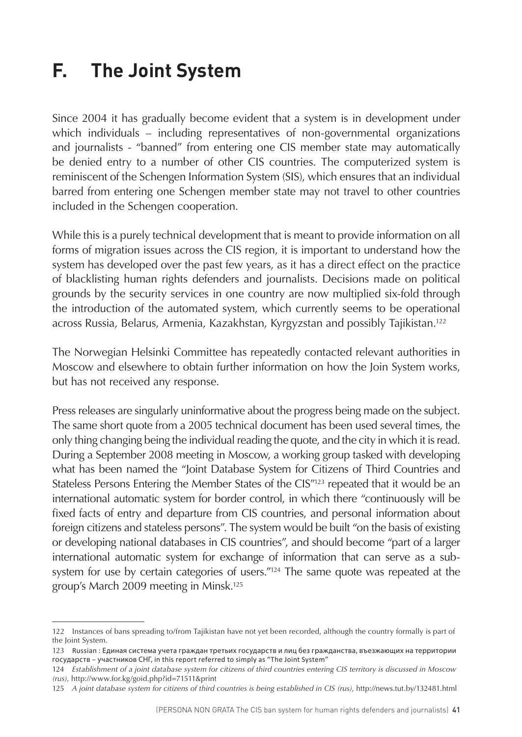# <span id="page-41-0"></span>**F. The Joint System**

Since 2004 it has gradually become evident that a system is in development under which individuals – including representatives of non-governmental organizations and journalists - "banned" from entering one CIS member state may automatically be denied entry to a number of other CIS countries. The computerized system is reminiscent of the Schengen Information System (SIS), which ensures that an individual barred from entering one Schengen member state may not travel to other countries included in the Schengen cooperation.

While this is a purely technical development that is meant to provide information on all forms of migration issues across the CIS region, it is important to understand how the system has developed over the past few years, as it has a direct effect on the practice of blacklisting human rights defenders and journalists. Decisions made on political grounds by the security services in one country are now multiplied six-fold through the introduction of the automated system, which currently seems to be operational across Russia, Belarus, Armenia, Kazakhstan, Kyrgyzstan and possibly Tajikistan.122

The Norwegian Helsinki Committee has repeatedly contacted relevant authorities in Moscow and elsewhere to obtain further information on how the Join System works, but has not received any response.

Press releases are singularly uninformative about the progress being made on the subject. The same short quote from a 2005 technical document has been used several times, the only thing changing being the individual reading the quote, and the city in which it is read. During a September 2008 meeting in Moscow, a working group tasked with developing what has been named the "Joint Database System for Citizens of Third Countries and Stateless Persons Entering the Member States of the CIS"<sup>123</sup> repeated that it would be an international automatic system for border control, in which there "continuously will be fixed facts of entry and departure from CIS countries, and personal information about foreign citizens and stateless persons". The system would be built "on the basis of existing or developing national databases in CIS countries", and should become "part of a larger international automatic system for exchange of information that can serve as a subsystem for use by certain categories of users.<sup>"124</sup> The same quote was repeated at the group's March 2009 meeting in Minsk.125

<sup>122</sup> Instances of bans spreading to/from Tajikistan have not yet been recorded, although the country formally is part of the Joint System.

<sup>123</sup> Russian : Единая система учета граждан третьих государств и лиц без гражданства, въезжающих на территории государств – участников СНГ, in this report referred to simply as "The Joint System"

<sup>124</sup> *Establishment of a joint database system for citizens of third countries entering CIS territory is discussed in Moscow (rus)*, http://www.for.kg/goid.php?id=71511&print

<sup>125</sup> *A joint database system for citizens of third countries is being established in CIS (rus)*, http://news.tut.by/132481.html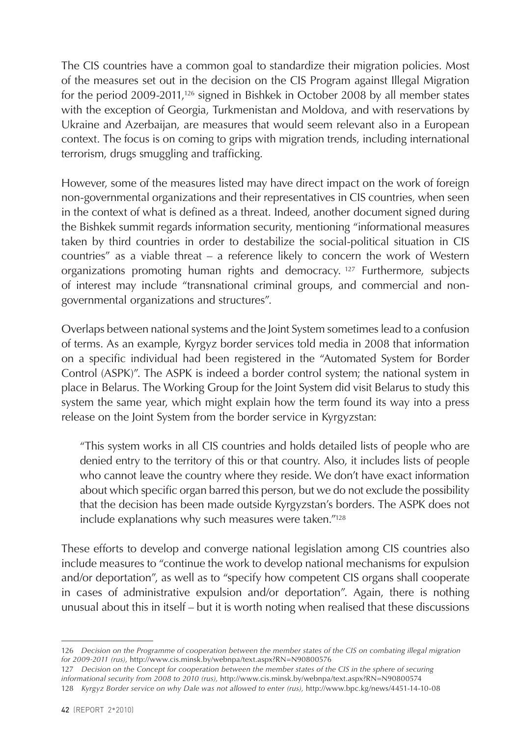The CIS countries have a common goal to standardize their migration policies. Most of the measures set out in the decision on the CIS Program against Illegal Migration for the period 2009-2011,126 signed in Bishkek in October 2008 by all member states with the exception of Georgia, Turkmenistan and Moldova, and with reservations by Ukraine and Azerbaijan, are measures that would seem relevant also in a European context. The focus is on coming to grips with migration trends, including international terrorism, drugs smuggling and trafficking.

However, some of the measures listed may have direct impact on the work of foreign non-governmental organizations and their representatives in CIS countries, when seen in the context of what is defined as a threat. Indeed, another document signed during the Bishkek summit regards information security, mentioning "informational measures taken by third countries in order to destabilize the social-political situation in CIS countries" as a viable threat – a reference likely to concern the work of Western organizations promoting human rights and democracy. 127 Furthermore, subjects of interest may include "transnational criminal groups, and commercial and nongovernmental organizations and structures".

Overlaps between national systems and the Joint System sometimes lead to a confusion of terms. As an example, Kyrgyz border services told media in 2008 that information on a specific individual had been registered in the "Automated System for Border Control (ASPK)". The ASPK is indeed a border control system; the national system in place in Belarus. The Working Group for the Joint System did visit Belarus to study this system the same year, which might explain how the term found its way into a press release on the Joint System from the border service in Kyrgyzstan:

"This system works in all CIS countries and holds detailed lists of people who are denied entry to the territory of this or that country. Also, it includes lists of people who cannot leave the country where they reside. We don't have exact information about which specific organ barred this person, but we do not exclude the possibility that the decision has been made outside Kyrgyzstan's borders. The ASPK does not include explanations why such measures were taken."128

These efforts to develop and converge national legislation among CIS countries also include measures to "continue the work to develop national mechanisms for expulsion and/or deportation", as well as to "specify how competent CIS organs shall cooperate in cases of administrative expulsion and/or deportation". Again, there is nothing unusual about this in itself – but it is worth noting when realised that these discussions

<sup>126</sup> *Decision on the Programme of cooperation between the member states of the CIS on combating illegal migration for 2009-2011 (rus),* http://www.cis.minsk.by/webnpa/text.aspx?RN=N90800576

<sup>127</sup> *Decision on the Concept for cooperation between the member states of the CIS in the sphere of securing informational security from 2008 to 2010 (rus),* http://www.cis.minsk.by/webnpa/text.aspx?RN=N90800574 128 *Kyrgyz Border service on why Dale was not allowed to enter (rus),* http://www.bpc.kg/news/4451-14-10-08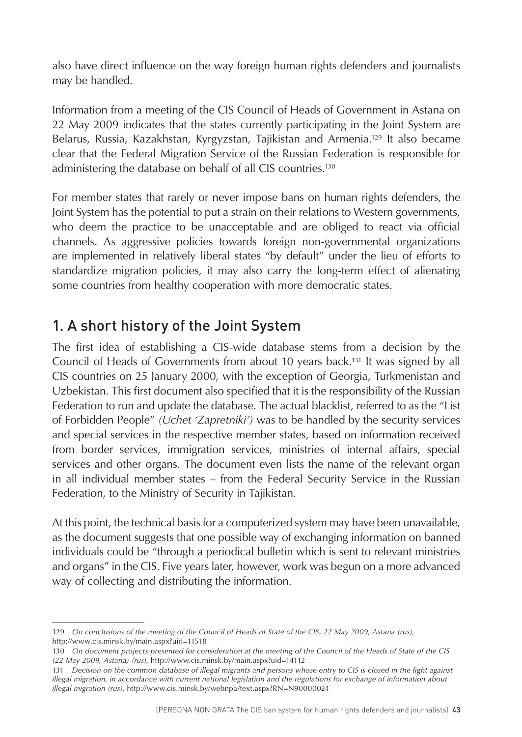<span id="page-43-0"></span>also have direct influence on the way foreign human rights defenders and journalists may be handled.

Information from a meeting of the CIS Council of Heads of Government in Astana on 22 May 2009 indicates that the states currently participating in the Joint System are Belarus, Russia, Kazakhstan, Kyrgyzstan, Tajikistan and Armenia.129 It also became clear that the Federal Migration Service of the Russian Federation is responsible for administering the database on behalf of all CIS countries.130

For member states that rarely or never impose bans on human rights defenders, the Joint System has the potential to put a strain on their relations to Western governments, who deem the practice to be unacceptable and are obliged to react via official channels. As aggressive policies towards foreign non-governmental organizations are implemented in relatively liberal states "by default" under the lieu of efforts to standardize migration policies, it may also carry the long-term effect of alienating some countries from healthy cooperation with more democratic states.

# 1. A short history of the Joint System

The first idea of establishing a CIS-wide database stems from a decision by the Council of Heads of Governments from about 10 years back.131 It was signed by all CIS countries on 25 January 2000, with the exception of Georgia, Turkmenistan and Uzbekistan. This first document also specified that it is the responsibility of the Russian Federation to run and update the database. The actual blacklist, referred to as the "List of Forbidden People" *(Uchet 'Zapretniki')* was to be handled by the security services and special services in the respective member states, based on information received from border services, immigration services, ministries of internal affairs, special services and other organs. The document even lists the name of the relevant organ in all individual member states – from the Federal Security Service in the Russian Federation, to the Ministry of Security in Tajikistan.

At this point, the technical basis for a computerized system may have been unavailable, as the document suggests that one possible way of exchanging information on banned individuals could be "through a periodical bulletin which is sent to relevant ministries and organs" in the CIS. Five years later, however, work was begun on a more advanced way of collecting and distributing the information.

<sup>129</sup> *On conclusions of the meeting of the Council of Heads of State of the CIS, 22 May 2009, Astana (rus),* http://www.cis.minsk.by/main.aspx?uid=11518

<sup>130</sup> *On document projects presented for consideration at the meeting of the Council of the Heads of State of the CIS (22 May 2009, Astana) (rus),* http://www.cis.minsk.by/main.aspx?uid=14112

<sup>131</sup> *Decision on the common database of illegal migrants and persons whose entry to CIS is closed in the fight against illegal migration, in accordance with current national legislation and the regulations for exchange of information about illegal migration (rus),* http://www.cis.minsk.by/webnpa/text.aspx?RN=N90000024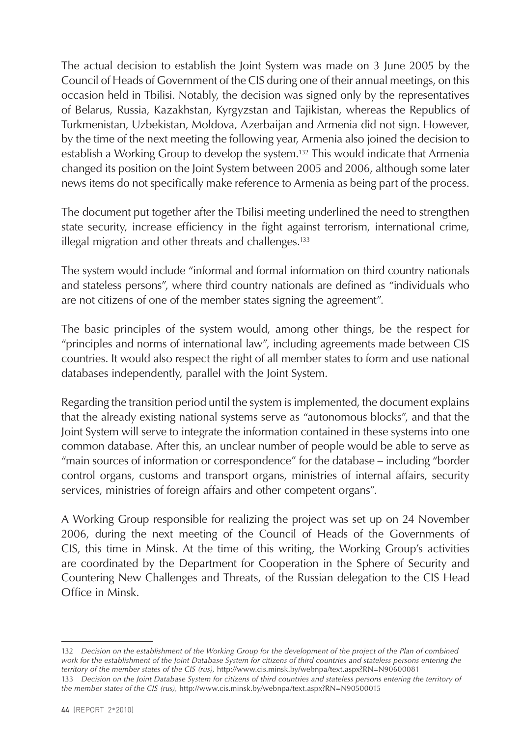The actual decision to establish the Joint System was made on 3 June 2005 by the Council of Heads of Government of the CIS during one of their annual meetings, on this occasion held in Tbilisi. Notably, the decision was signed only by the representatives of Belarus, Russia, Kazakhstan, Kyrgyzstan and Tajikistan, whereas the Republics of Turkmenistan, Uzbekistan, Moldova, Azerbaijan and Armenia did not sign. However, by the time of the next meeting the following year, Armenia also joined the decision to establish a Working Group to develop the system.132 This would indicate that Armenia changed its position on the Joint System between 2005 and 2006, although some later news items do not specifically make reference to Armenia as being part of the process.

The document put together after the Tbilisi meeting underlined the need to strengthen state security, increase efficiency in the fight against terrorism, international crime, illegal migration and other threats and challenges.<sup>133</sup>

The system would include "informal and formal information on third country nationals and stateless persons", where third country nationals are defined as "individuals who are not citizens of one of the member states signing the agreement".

The basic principles of the system would, among other things, be the respect for "principles and norms of international law", including agreements made between CIS countries. It would also respect the right of all member states to form and use national databases independently, parallel with the Joint System.

Regarding the transition period until the system is implemented, the document explains that the already existing national systems serve as "autonomous blocks", and that the Joint System will serve to integrate the information contained in these systems into one common database. After this, an unclear number of people would be able to serve as "main sources of information or correspondence" for the database – including "border control organs, customs and transport organs, ministries of internal affairs, security services, ministries of foreign affairs and other competent organs".

A Working Group responsible for realizing the project was set up on 24 November 2006, during the next meeting of the Council of Heads of the Governments of CIS, this time in Minsk. At the time of this writing, the Working Group's activities are coordinated by the Department for Cooperation in the Sphere of Security and Countering New Challenges and Threats, of the Russian delegation to the CIS Head Office in Minsk.

<sup>132</sup> *Decision on the establishment of the Working Group for the development of the project of the Plan of combined work for the establishment of the Joint Database System for citizens of third countries and stateless persons entering the territory of the member states of the CIS (rus),* http://www.cis.minsk.by/webnpa/text.aspx?RN=N90600081 133 *Decision on the Joint Database System for citizens of third countries and stateless persons entering the territory of the member states of the CIS (rus),* http://www.cis.minsk.by/webnpa/text.aspx?RN=N90500015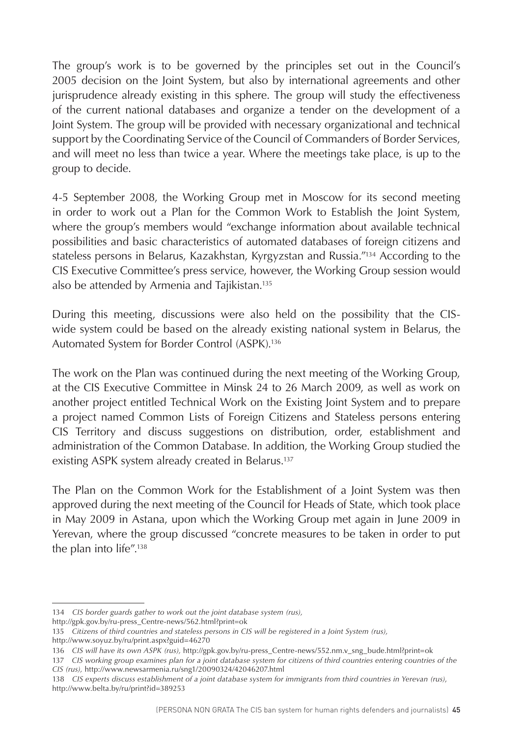The group's work is to be governed by the principles set out in the Council's 2005 decision on the Joint System, but also by international agreements and other jurisprudence already existing in this sphere. The group will study the effectiveness of the current national databases and organize a tender on the development of a Joint System. The group will be provided with necessary organizational and technical support by the Coordinating Service of the Council of Commanders of Border Services, and will meet no less than twice a year. Where the meetings take place, is up to the group to decide.

4-5 September 2008, the Working Group met in Moscow for its second meeting in order to work out a Plan for the Common Work to Establish the Joint System, where the group's members would "exchange information about available technical possibilities and basic characteristics of automated databases of foreign citizens and stateless persons in Belarus, Kazakhstan, Kyrgyzstan and Russia."134 According to the CIS Executive Committee's press service, however, the Working Group session would also be attended by Armenia and Tajikistan.135

During this meeting, discussions were also held on the possibility that the CISwide system could be based on the already existing national system in Belarus, the Automated System for Border Control (ASPK).136

The work on the Plan was continued during the next meeting of the Working Group, at the CIS Executive Committee in Minsk 24 to 26 March 2009, as well as work on another project entitled Technical Work on the Existing Joint System and to prepare a project named Common Lists of Foreign Citizens and Stateless persons entering CIS Territory and discuss suggestions on distribution, order, establishment and administration of the Common Database. In addition, the Working Group studied the existing ASPK system already created in Belarus.<sup>137</sup>

The Plan on the Common Work for the Establishment of a Joint System was then approved during the next meeting of the Council for Heads of State, which took place in May 2009 in Astana, upon which the Working Group met again in June 2009 in Yerevan, where the group discussed "concrete measures to be taken in order to put the plan into life".138

http://www.soyuz.by/ru/print.aspx?guid=46270

<sup>134</sup> *CIS border guards gather to work out the joint database system (rus),*

http://gpk.gov.by/ru-press\_Centre-news/562.html?print=ok

<sup>135</sup> *Citizens of third countries and stateless persons in CIS will be registered in a Joint System (rus),* 

<sup>136</sup> *CIS will have its own ASPK (rus),* http://gpk.gov.by/ru-press\_Centre-news/552.nm.v\_sng\_bude.html?print=ok

<sup>137</sup> *CIS working group examines plan for a joint database system for citizens of third countries entering countries of the CIS (rus),* http://www.newsarmenia.ru/sng1/20090324/42046207.html

<sup>138</sup> *CIS experts discuss establishment of a joint database system for immigrants from third countries in Yerevan (rus)*, http://www.belta.by/ru/print?id=389253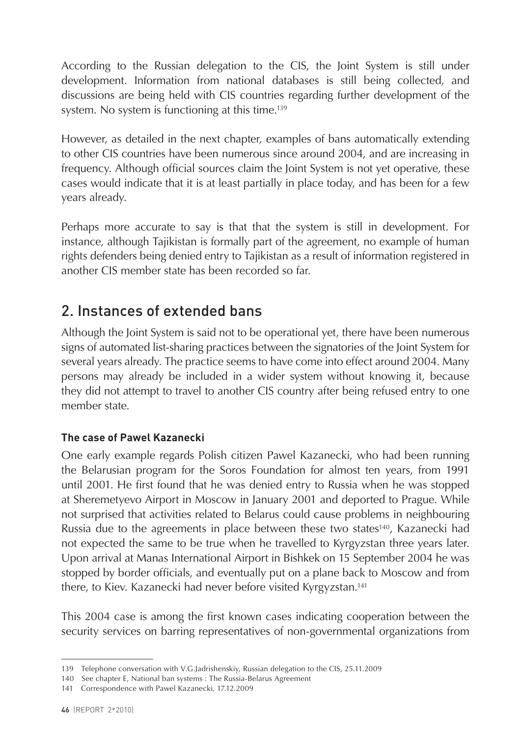<span id="page-46-0"></span>According to the Russian delegation to the CIS, the Joint System is still under development. Information from national databases is still being collected, and discussions are being held with CIS countries regarding further development of the system. No system is functioning at this time.139

However, as detailed in the next chapter, examples of bans automatically extending to other CIS countries have been numerous since around 2004, and are increasing in frequency. Although official sources claim the Joint System is not yet operative, these cases would indicate that it is at least partially in place today, and has been for a few years already.

Perhaps more accurate to say is that that the system is still in development. For instance, although Tajikistan is formally part of the agreement, no example of human rights defenders being denied entry to Tajikistan as a result of information registered in another CIS member state has been recorded so far.

# 2. Instances of extended bans

Although the Joint System is said not to be operational yet, there have been numerous signs of automated list-sharing practices between the signatories of the Joint System for several years already. The practice seems to have come into effect around 2004. Many persons may already be included in a wider system without knowing it, because they did not attempt to travel to another CIS country after being refused entry to one member state.

#### **The case of Pawel Kazanecki**

One early example regards Polish citizen Pawel Kazanecki, who had been running the Belarusian program for the Soros Foundation for almost ten years, from 1991 until 2001. He first found that he was denied entry to Russia when he was stopped at Sheremetyevo Airport in Moscow in January 2001 and deported to Prague. While not surprised that activities related to Belarus could cause problems in neighbouring Russia due to the agreements in place between these two states<sup>140</sup>, Kazanecki had not expected the same to be true when he travelled to Kyrgyzstan three years later. Upon arrival at Manas International Airport in Bishkek on 15 September 2004 he was stopped by border officials, and eventually put on a plane back to Moscow and from there, to Kiev. Kazanecki had never before visited Kyrgyzstan.<sup>141</sup>

This 2004 case is among the first known cases indicating cooperation between the security services on barring representatives of non-governmental organizations from

<sup>139</sup> Telephone conversation with V.G.Jadrishenskiy, Russian delegation to the CIS, 25.11.2009

<sup>140</sup> See chapter E, National ban systems : The Russia-Belarus Agreement

<sup>141</sup> Correspondence with Pawel Kazanecki, 17.12.2009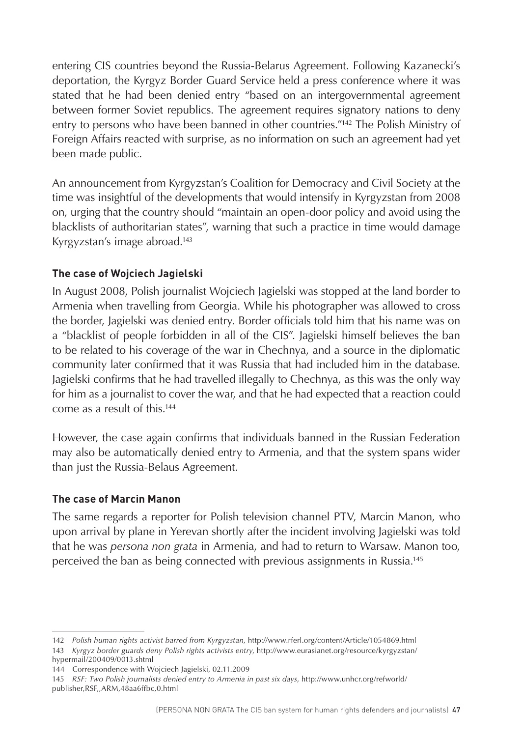entering CIS countries beyond the Russia-Belarus Agreement. Following Kazanecki's deportation, the Kyrgyz Border Guard Service held a press conference where it was stated that he had been denied entry "based on an intergovernmental agreement between former Soviet republics. The agreement requires signatory nations to deny entry to persons who have been banned in other countries."142 The Polish Ministry of Foreign Affairs reacted with surprise, as no information on such an agreement had yet been made public.

An announcement from Kyrgyzstan's Coalition for Democracy and Civil Society at the time was insightful of the developments that would intensify in Kyrgyzstan from 2008 on, urging that the country should "maintain an open-door policy and avoid using the blacklists of authoritarian states", warning that such a practice in time would damage Kyrgyzstan's image abroad.143

#### **The case of Wojciech Jagielski**

In August 2008, Polish journalist Wojciech Jagielski was stopped at the land border to Armenia when travelling from Georgia. While his photographer was allowed to cross the border, Jagielski was denied entry. Border officials told him that his name was on a "blacklist of people forbidden in all of the CIS". Jagielski himself believes the ban to be related to his coverage of the war in Chechnya, and a source in the diplomatic community later confirmed that it was Russia that had included him in the database. Jagielski confirms that he had travelled illegally to Chechnya, as this was the only way for him as a journalist to cover the war, and that he had expected that a reaction could come as a result of this.144

However, the case again confirms that individuals banned in the Russian Federation may also be automatically denied entry to Armenia, and that the system spans wider than just the Russia-Belaus Agreement.

#### **The case of Marcin Manon**

The same regards a reporter for Polish television channel PTV, Marcin Manon, who upon arrival by plane in Yerevan shortly after the incident involving Jagielski was told that he was *persona non grata* in Armenia, and had to return to Warsaw. Manon too, perceived the ban as being connected with previous assignments in Russia.145

<sup>142</sup> *Polish human rights activist barred from Kyrgyzstan*, http://www.rferl.org/content/Article/1054869.html 143 *Kyrgyz border guards deny Polish rights activists entry*, http://www.eurasianet.org/resource/kyrgyzstan/

hypermail/200409/0013.shtml

<sup>144</sup> Correspondence with Wojciech Jagielski, 02.11.2009

<sup>145</sup> *RSF: Two Polish journalists denied entry to Armenia in past six days*, http://www.unhcr.org/refworld/ publisher,RSF,,ARM,48aa6ffbc,0.html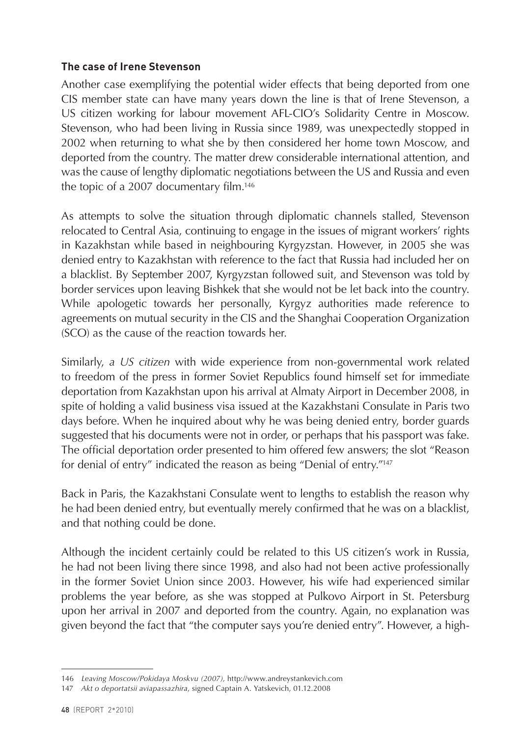#### **The case of Irene Stevenson**

Another case exemplifying the potential wider effects that being deported from one CIS member state can have many years down the line is that of Irene Stevenson, a US citizen working for labour movement AFL-CIO's Solidarity Centre in Moscow. Stevenson, who had been living in Russia since 1989, was unexpectedly stopped in 2002 when returning to what she by then considered her home town Moscow, and deported from the country. The matter drew considerable international attention, and was the cause of lengthy diplomatic negotiations between the US and Russia and even the topic of a 2007 documentary film.146

As attempts to solve the situation through diplomatic channels stalled, Stevenson relocated to Central Asia, continuing to engage in the issues of migrant workers' rights in Kazakhstan while based in neighbouring Kyrgyzstan. However, in 2005 she was denied entry to Kazakhstan with reference to the fact that Russia had included her on a blacklist. By September 2007, Kyrgyzstan followed suit, and Stevenson was told by border services upon leaving Bishkek that she would not be let back into the country. While apologetic towards her personally, Kyrgyz authorities made reference to agreements on mutual security in the CIS and the Shanghai Cooperation Organization (SCO) as the cause of the reaction towards her.

Similarly, *a US citizen* with wide experience from non-governmental work related to freedom of the press in former Soviet Republics found himself set for immediate deportation from Kazakhstan upon his arrival at Almaty Airport in December 2008, in spite of holding a valid business visa issued at the Kazakhstani Consulate in Paris two days before. When he inquired about why he was being denied entry, border guards suggested that his documents were not in order, or perhaps that his passport was fake. The official deportation order presented to him offered few answers; the slot "Reason for denial of entry" indicated the reason as being "Denial of entry."147

Back in Paris, the Kazakhstani Consulate went to lengths to establish the reason why he had been denied entry, but eventually merely confirmed that he was on a blacklist, and that nothing could be done.

Although the incident certainly could be related to this US citizen's work in Russia, he had not been living there since 1998, and also had not been active professionally in the former Soviet Union since 2003. However, his wife had experienced similar problems the year before, as she was stopped at Pulkovo Airport in St. Petersburg upon her arrival in 2007 and deported from the country. Again, no explanation was given beyond the fact that "the computer says you're denied entry". However, a high-

<sup>146</sup> *Leaving Moscow/Pokidaya Moskvu (2007),* http://www.andreystankevich.com

<sup>147</sup> *Akt o deportatsii aviapassazhira*, signed Captain A. Yatskevich, 01.12.2008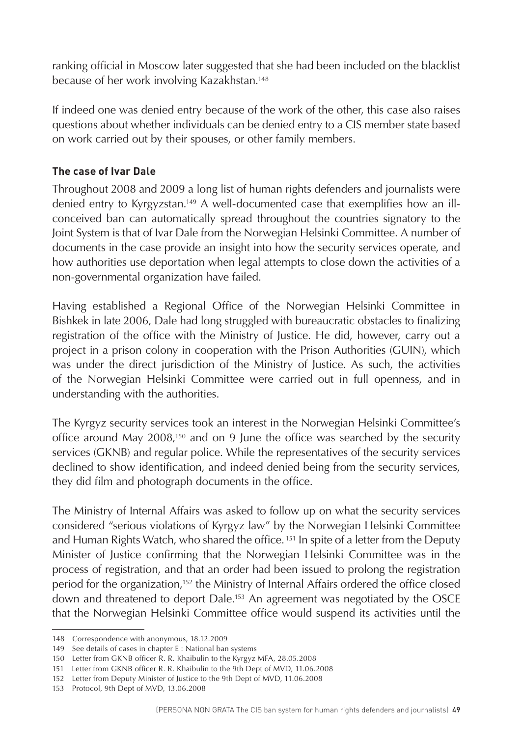ranking official in Moscow later suggested that she had been included on the blacklist because of her work involving Kazakhstan.148

If indeed one was denied entry because of the work of the other, this case also raises questions about whether individuals can be denied entry to a CIS member state based on work carried out by their spouses, or other family members.

#### **The case of Ivar Dale**

Throughout 2008 and 2009 a long list of human rights defenders and journalists were denied entry to Kyrgyzstan.149 A well-documented case that exemplifies how an illconceived ban can automatically spread throughout the countries signatory to the Joint System is that of Ivar Dale from the Norwegian Helsinki Committee. A number of documents in the case provide an insight into how the security services operate, and how authorities use deportation when legal attempts to close down the activities of a non-governmental organization have failed.

Having established a Regional Office of the Norwegian Helsinki Committee in Bishkek in late 2006, Dale had long struggled with bureaucratic obstacles to finalizing registration of the office with the Ministry of Justice. He did, however, carry out a project in a prison colony in cooperation with the Prison Authorities (GUIN), which was under the direct jurisdiction of the Ministry of Justice. As such, the activities of the Norwegian Helsinki Committee were carried out in full openness, and in understanding with the authorities.

The Kyrgyz security services took an interest in the Norwegian Helsinki Committee's office around May 2008,<sup>150</sup> and on 9 June the office was searched by the security services (GKNB) and regular police. While the representatives of the security services declined to show identification, and indeed denied being from the security services, they did film and photograph documents in the office.

The Ministry of Internal Affairs was asked to follow up on what the security services considered "serious violations of Kyrgyz law" by the Norwegian Helsinki Committee and Human Rights Watch, who shared the office. 151 In spite of a letter from the Deputy Minister of Justice confirming that the Norwegian Helsinki Committee was in the process of registration, and that an order had been issued to prolong the registration period for the organization,<sup>152</sup> the Ministry of Internal Affairs ordered the office closed down and threatened to deport Dale.<sup>153</sup> An agreement was negotiated by the OSCE that the Norwegian Helsinki Committee office would suspend its activities until the

<sup>148</sup> Correspondence with anonymous, 18.12.2009

<sup>149</sup> See details of cases in chapter E : National ban systems

<sup>150</sup> Letter from GKNB officer R. R. Khaibulin to the Kyrgyz MFA, 28.05.2008

<sup>151</sup> Letter from GKNB officer R. R. Khaibulin to the 9th Dept of MVD, 11.06.2008

<sup>152</sup> Letter from Deputy Minister of Justice to the 9th Dept of MVD, 11.06.2008

<sup>153</sup> Protocol, 9th Dept of MVD, 13.06.2008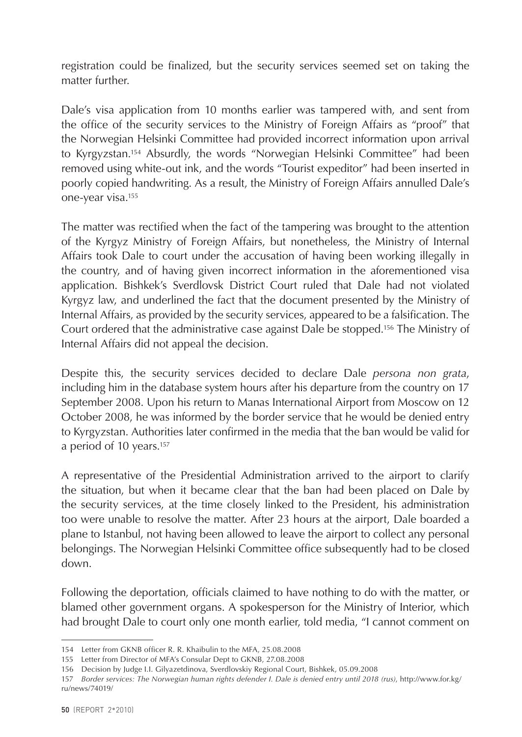registration could be finalized, but the security services seemed set on taking the matter further.

Dale's visa application from 10 months earlier was tampered with, and sent from the office of the security services to the Ministry of Foreign Affairs as "proof" that the Norwegian Helsinki Committee had provided incorrect information upon arrival to Kyrgyzstan.154 Absurdly, the words "Norwegian Helsinki Committee" had been removed using white-out ink, and the words "Tourist expeditor" had been inserted in poorly copied handwriting. As a result, the Ministry of Foreign Affairs annulled Dale's one-year visa.155

The matter was rectified when the fact of the tampering was brought to the attention of the Kyrgyz Ministry of Foreign Affairs, but nonetheless, the Ministry of Internal Affairs took Dale to court under the accusation of having been working illegally in the country, and of having given incorrect information in the aforementioned visa application. Bishkek's Sverdlovsk District Court ruled that Dale had not violated Kyrgyz law, and underlined the fact that the document presented by the Ministry of Internal Affairs, as provided by the security services, appeared to be a falsification. The Court ordered that the administrative case against Dale be stopped.156 The Ministry of Internal Affairs did not appeal the decision.

Despite this, the security services decided to declare Dale *persona non grata*, including him in the database system hours after his departure from the country on 17 September 2008. Upon his return to Manas International Airport from Moscow on 12 October 2008, he was informed by the border service that he would be denied entry to Kyrgyzstan. Authorities later confirmed in the media that the ban would be valid for a period of 10 years.157

A representative of the Presidential Administration arrived to the airport to clarify the situation, but when it became clear that the ban had been placed on Dale by the security services, at the time closely linked to the President, his administration too were unable to resolve the matter. After 23 hours at the airport, Dale boarded a plane to Istanbul, not having been allowed to leave the airport to collect any personal belongings. The Norwegian Helsinki Committee office subsequently had to be closed down.

Following the deportation, officials claimed to have nothing to do with the matter, or blamed other government organs. A spokesperson for the Ministry of Interior, which had brought Dale to court only one month earlier, told media, "I cannot comment on

<sup>154</sup> Letter from GKNB officer R. R. Khaibulin to the MFA, 25.08.2008

<sup>155</sup> Letter from Director of MFA's Consular Dept to GKNB, 27.08.2008

<sup>156</sup> Decision by Judge I.I. Gilyazetdinova, Sverdlovskiy Regional Court, Bishkek, 05.09.2008

<sup>157</sup> *Border services: The Norwegian human rights defender I. Dale is denied entry until 2018 (rus)*, http://www.for.kg/ ru/news/74019/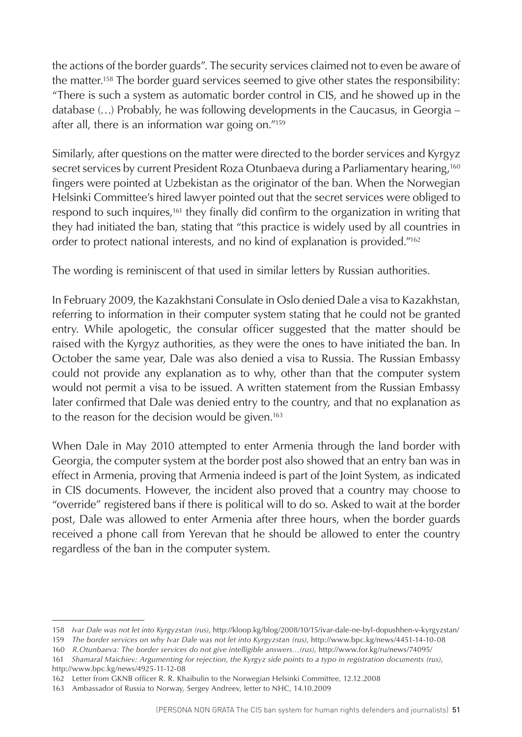the actions of the border guards". The security services claimed not to even be aware of the matter.158 The border guard services seemed to give other states the responsibility: "There is such a system as automatic border control in CIS, and he showed up in the database (…) Probably, he was following developments in the Caucasus, in Georgia – after all, there is an information war going on."159

Similarly, after questions on the matter were directed to the border services and Kyrgyz secret services by current President Roza Otunbaeva during a Parliamentary hearing,<sup>160</sup> fingers were pointed at Uzbekistan as the originator of the ban. When the Norwegian Helsinki Committee's hired lawyer pointed out that the secret services were obliged to respond to such inquires,161 they finally did confirm to the organization in writing that they had initiated the ban, stating that "this practice is widely used by all countries in order to protect national interests, and no kind of explanation is provided."162

The wording is reminiscent of that used in similar letters by Russian authorities.

In February 2009, the Kazakhstani Consulate in Oslo denied Dale a visa to Kazakhstan, referring to information in their computer system stating that he could not be granted entry. While apologetic, the consular officer suggested that the matter should be raised with the Kyrgyz authorities, as they were the ones to have initiated the ban. In October the same year, Dale was also denied a visa to Russia. The Russian Embassy could not provide any explanation as to why, other than that the computer system would not permit a visa to be issued. A written statement from the Russian Embassy later confirmed that Dale was denied entry to the country, and that no explanation as to the reason for the decision would be given.<sup>163</sup>

When Dale in May 2010 attempted to enter Armenia through the land border with Georgia, the computer system at the border post also showed that an entry ban was in effect in Armenia, proving that Armenia indeed is part of the Joint System, as indicated in CIS documents. However, the incident also proved that a country may choose to "override" registered bans if there is political will to do so. Asked to wait at the border post, Dale was allowed to enter Armenia after three hours, when the border guards received a phone call from Yerevan that he should be allowed to enter the country regardless of the ban in the computer system.

<sup>158</sup> *Ivar Dale was not let into Kyrgyzstan (rus)*, http://kloop.kg/blog/2008/10/15/ivar-dale-ne-byl-dopushhen-v-kyrgyzstan/

<sup>159</sup> *The border services on why Ivar Dale was not let into Kyrgyzstan (rus)*, http://www.bpc.kg/news/4451-14-10-08

<sup>160</sup> *R.Otunbaeva: The border services do not give intelligible answers…(rus)*, http://www.for.kg/ru/news/74095/

<sup>161</sup> *Shamaral Maichiev: Argumenting for rejection, the Kyrgyz side points to a typo in registration documents (rus)*, http://www.bpc.kg/news/4925-11-12-08

<sup>162</sup> Letter from GKNB officer R. R. Khaibulin to the Norwegian Helsinki Committee, 12.12.2008

<sup>163</sup> Ambassador of Russia to Norway, Sergey Andreev, letter to NHC, 14.10.2009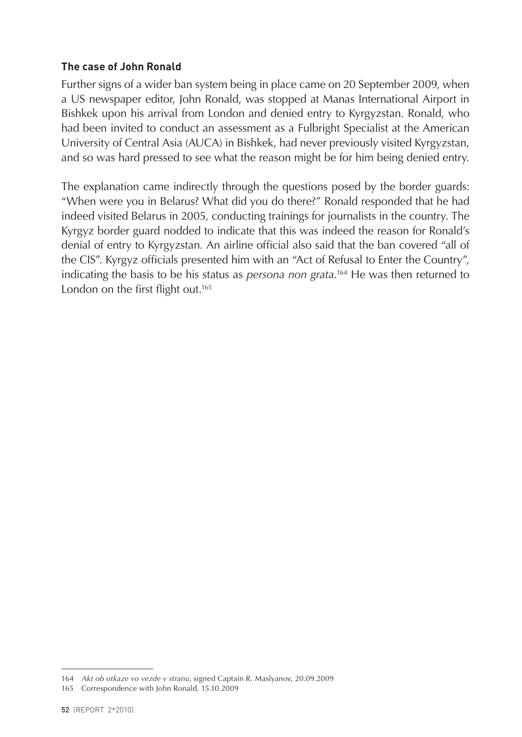#### **The case of John Ronald**

Further signs of a wider ban system being in place came on 20 September 2009, when a US newspaper editor, John Ronald, was stopped at Manas International Airport in Bishkek upon his arrival from London and denied entry to Kyrgyzstan. Ronald, who had been invited to conduct an assessment as a Fulbright Specialist at the American University of Central Asia (AUCA) in Bishkek, had never previously visited Kyrgyzstan, and so was hard pressed to see what the reason might be for him being denied entry.

The explanation came indirectly through the questions posed by the border guards: "When were you in Belarus? What did you do there?" Ronald responded that he had indeed visited Belarus in 2005, conducting trainings for journalists in the country. The Kyrgyz border guard nodded to indicate that this was indeed the reason for Ronald's denial of entry to Kyrgyzstan. An airline official also said that the ban covered "all of the CIS". Kyrgyz officials presented him with an "Act of Refusal to Enter the Country", indicating the basis to be his status as *persona non grata*. 164 He was then returned to London on the first flight out.<sup>165</sup>

<sup>164</sup> *Akt ob otkaze vo vezde v stranu*, signed Captain R. Maslyanov, 20.09.2009

<sup>165</sup> Correspondence with John Ronald, 15.10.2009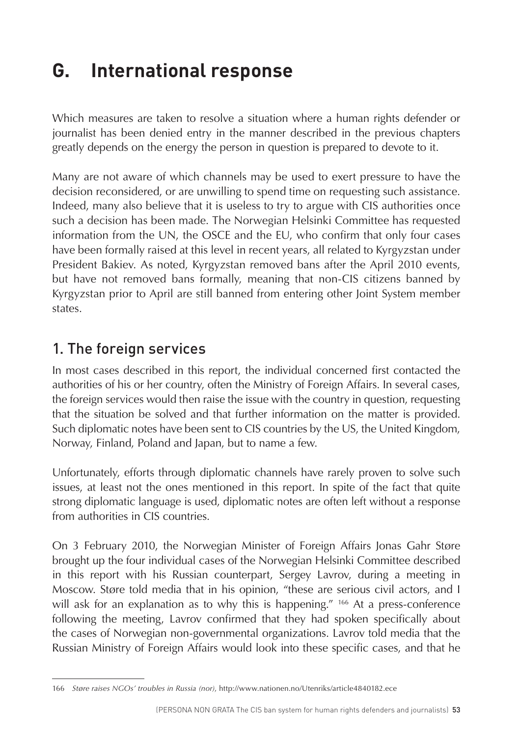# <span id="page-53-0"></span>**G. International response**

Which measures are taken to resolve a situation where a human rights defender or journalist has been denied entry in the manner described in the previous chapters greatly depends on the energy the person in question is prepared to devote to it.

Many are not aware of which channels may be used to exert pressure to have the decision reconsidered, or are unwilling to spend time on requesting such assistance. Indeed, many also believe that it is useless to try to argue with CIS authorities once such a decision has been made. The Norwegian Helsinki Committee has requested information from the UN, the OSCE and the EU, who confirm that only four cases have been formally raised at this level in recent years, all related to Kyrgyzstan under President Bakiev. As noted, Kyrgyzstan removed bans after the April 2010 events, but have not removed bans formally, meaning that non-CIS citizens banned by Kyrgyzstan prior to April are still banned from entering other Joint System member states.

### 1. The foreign services

In most cases described in this report, the individual concerned first contacted the authorities of his or her country, often the Ministry of Foreign Affairs. In several cases, the foreign services would then raise the issue with the country in question, requesting that the situation be solved and that further information on the matter is provided. Such diplomatic notes have been sent to CIS countries by the US, the United Kingdom, Norway, Finland, Poland and Japan, but to name a few.

Unfortunately, efforts through diplomatic channels have rarely proven to solve such issues, at least not the ones mentioned in this report. In spite of the fact that quite strong diplomatic language is used, diplomatic notes are often left without a response from authorities in CIS countries.

On 3 February 2010, the Norwegian Minister of Foreign Affairs Jonas Gahr Støre brought up the four individual cases of the Norwegian Helsinki Committee described in this report with his Russian counterpart, Sergey Lavrov, during a meeting in Moscow. Støre told media that in his opinion, "these are serious civil actors, and I will ask for an explanation as to why this is happening." 166 At a press-conference following the meeting, Lavrov confirmed that they had spoken specifically about the cases of Norwegian non-governmental organizations. Lavrov told media that the Russian Ministry of Foreign Affairs would look into these specific cases, and that he

<sup>166</sup> *Støre raises NGOs' troubles in Russia (nor)*, http://www.nationen.no/Utenriks/article4840182.ece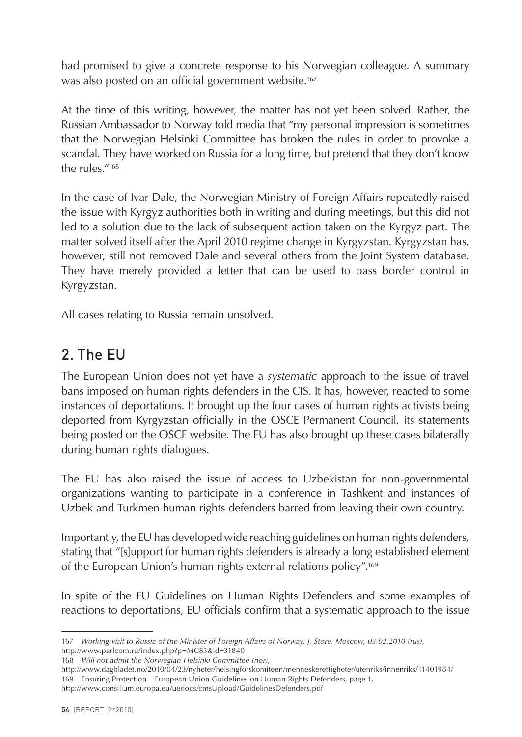<span id="page-54-0"></span>had promised to give a concrete response to his Norwegian colleague. A summary was also posted on an official government website.<sup>167</sup>

At the time of this writing, however, the matter has not yet been solved. Rather, the Russian Ambassador to Norway told media that "my personal impression is sometimes that the Norwegian Helsinki Committee has broken the rules in order to provoke a scandal. They have worked on Russia for a long time, but pretend that they don't know the rules."168

In the case of Ivar Dale, the Norwegian Ministry of Foreign Affairs repeatedly raised the issue with Kyrgyz authorities both in writing and during meetings, but this did not led to a solution due to the lack of subsequent action taken on the Kyrgyz part. The matter solved itself after the April 2010 regime change in Kyrgyzstan. Kyrgyzstan has, however, still not removed Dale and several others from the Joint System database. They have merely provided a letter that can be used to pass border control in Kyrgyzstan.

All cases relating to Russia remain unsolved.

# 2. The EU

The European Union does not yet have a *systematic* approach to the issue of travel bans imposed on human rights defenders in the CIS. It has, however, reacted to some instances of deportations. It brought up the four cases of human rights activists being deported from Kyrgyzstan officially in the OSCE Permanent Council, its statements being posted on the OSCE website. The EU has also brought up these cases bilaterally during human rights dialogues.

The EU has also raised the issue of access to Uzbekistan for non-governmental organizations wanting to participate in a conference in Tashkent and instances of Uzbek and Turkmen human rights defenders barred from leaving their own country.

Importantly, the EU has developed wide reaching guidelines on human rights defenders, stating that "[s]upport for human rights defenders is already a long established element of the European Union's human rights external relations policy".169

In spite of the EU Guidelines on Human Rights Defenders and some examples of reactions to deportations, EU officials confirm that a systematic approach to the issue

<sup>167</sup> *Working visit to Russia of the Minister of Foreign Affairs of Norway, J. Støre, Moscow, 03.02.2010 (rus)*, http://www.parlcom.ru/index.php?p=MC83&id=31840

<sup>168</sup> *Will not admit the Norwegian Helsinki Committee (nor)*,

<http://www.dagbladet.no/2010/04/23/nyheter/helsingforskomiteen/menneskerettigheter/utenriks/innenriks/11401984/> 169 Ensuring Protection – European Union Guidelines on Human Rights Defenders, page 1,

http://www.consilium.europa.eu/uedocs/cmsUpload/GuidelinesDefenders.pdf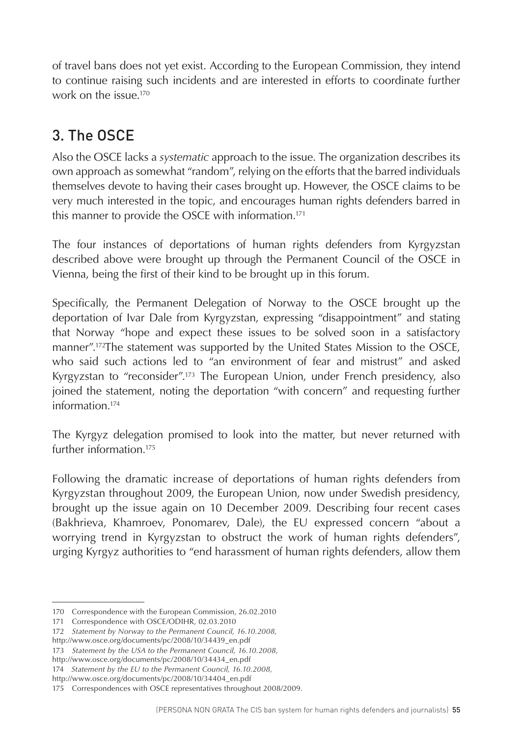<span id="page-55-0"></span>of travel bans does not yet exist. According to the European Commission, they intend to continue raising such incidents and are interested in efforts to coordinate further work on the issue  $170$ 

# 3. The OSCE

Also the OSCE lacks a *systematic* approach to the issue. The organization describes its own approach as somewhat "random", relying on the efforts that the barred individuals themselves devote to having their cases brought up. However, the OSCE claims to be very much interested in the topic, and encourages human rights defenders barred in this manner to provide the OSCE with information.<sup>171</sup>

The four instances of deportations of human rights defenders from Kyrgyzstan described above were brought up through the Permanent Council of the OSCE in Vienna, being the first of their kind to be brought up in this forum.

Specifically, the Permanent Delegation of Norway to the OSCE brought up the deportation of Ivar Dale from Kyrgyzstan, expressing "disappointment" and stating that Norway "hope and expect these issues to be solved soon in a satisfactory manner".172The statement was supported by the United States Mission to the OSCE, who said such actions led to "an environment of fear and mistrust" and asked Kyrgyzstan to "reconsider".173 The European Union, under French presidency, also joined the statement, noting the deportation "with concern" and requesting further information<sup>174</sup>

The Kyrgyz delegation promised to look into the matter, but never returned with further information<sup>175</sup>

Following the dramatic increase of deportations of human rights defenders from Kyrgyzstan throughout 2009, the European Union, now under Swedish presidency, brought up the issue again on 10 December 2009. Describing four recent cases (Bakhrieva, Khamroev, Ponomarev, Dale), the EU expressed concern "about a worrying trend in Kyrgyzstan to obstruct the work of human rights defenders", urging Kyrgyz authorities to "end harassment of human rights defenders, allow them

<sup>170</sup> Correspondence with the European Commission, 26.02.2010

<sup>171</sup> Correspondence with OSCE/ODIHR, 02.03.2010

<sup>172</sup> *Statement by Norway to the Permanent Council, 16.10.2008,* 

http://www.osce.org/documents/pc/2008/10/34439\_en.pdf

<sup>173</sup> *Statement by the USA to the Permanent Council, 16.10.2008,*

http://www.osce.org/documents/pc/2008/10/34434\_en.pdf

<sup>174</sup> *Statement by the EU to the Permanent Council, 16.10.2008,* 

http://www.osce.org/documents/pc/2008/10/34404\_en.pdf

<sup>175</sup> Correspondences with OSCE representatives throughout 2008/2009.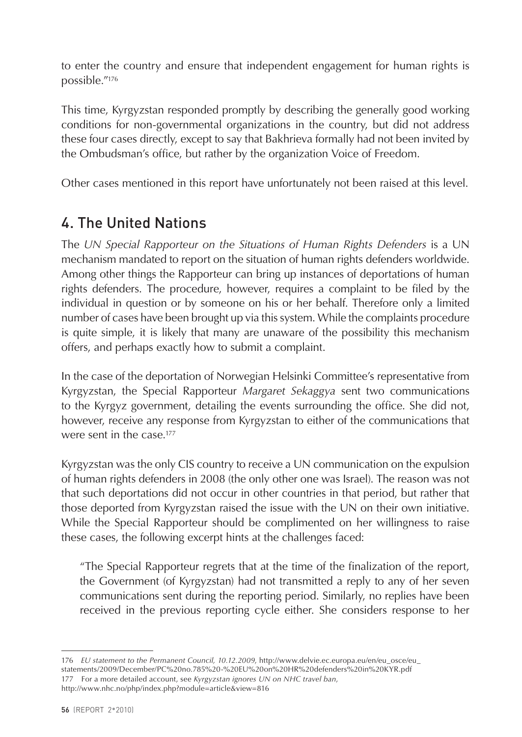<span id="page-56-0"></span>to enter the country and ensure that independent engagement for human rights is possible."176

This time, Kyrgyzstan responded promptly by describing the generally good working conditions for non-governmental organizations in the country, but did not address these four cases directly, except to say that Bakhrieva formally had not been invited by the Ombudsman's office, but rather by the organization Voice of Freedom.

Other cases mentioned in this report have unfortunately not been raised at this level.

# 4. The United Nations

The *UN Special Rapporteur on the Situations of Human Rights Defenders* is a UN mechanism mandated to report on the situation of human rights defenders worldwide. Among other things the Rapporteur can bring up instances of deportations of human rights defenders. The procedure, however, requires a complaint to be filed by the individual in question or by someone on his or her behalf. Therefore only a limited number of cases have been brought up via this system. While the complaints procedure is quite simple, it is likely that many are unaware of the possibility this mechanism offers, and perhaps exactly how to submit a complaint.

In the case of the deportation of Norwegian Helsinki Committee's representative from Kyrgyzstan, the Special Rapporteur *Margaret Sekaggya* sent two communications to the Kyrgyz government, detailing the events surrounding the office. She did not, however, receive any response from Kyrgyzstan to either of the communications that were sent in the case.<sup>177</sup>

Kyrgyzstan was the only CIS country to receive a UN communication on the expulsion of human rights defenders in 2008 (the only other one was Israel). The reason was not that such deportations did not occur in other countries in that period, but rather that those deported from Kyrgyzstan raised the issue with the UN on their own initiative. While the Special Rapporteur should be complimented on her willingness to raise these cases, the following excerpt hints at the challenges faced:

"The Special Rapporteur regrets that at the time of the finalization of the report, the Government (of Kyrgyzstan) had not transmitted a reply to any of her seven communications sent during the reporting period. Similarly, no replies have been received in the previous reporting cycle either. She considers response to her

177 For a more detailed account, see *Kyrgyzstan ignores UN on NHC travel ban*, http://www.nhc.no/php/index.php?module=article&view=816

<sup>176</sup> *EU statement to the Permanent Council, 10.12.2009*, http://www.delvie.ec.europa.eu/en/eu\_osce/eu\_ statements/2009/December/PC%20no.785%20-%20EU%20on%20HR%20defenders%20in%20KYR.pdf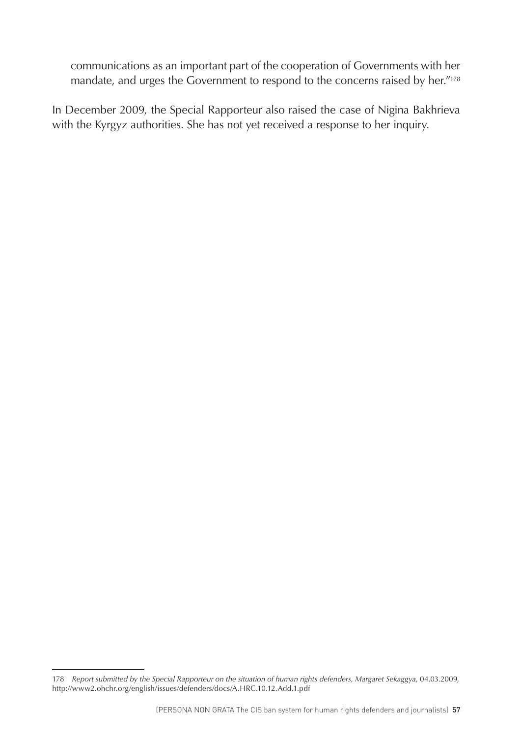communications as an important part of the cooperation of Governments with her mandate, and urges the Government to respond to the concerns raised by her."178

In December 2009, the Special Rapporteur also raised the case of Nigina Bakhrieva with the Kyrgyz authorities. She has not yet received a response to her inquiry.

<sup>178</sup> *Report submitted by the Special Rapporteur on the situation of human rights defenders, Margaret Sekaggya*, 04.03.2009, http://www2.ohchr.org/english/issues/defenders/docs/A.HRC.10.12.Add.1.pdf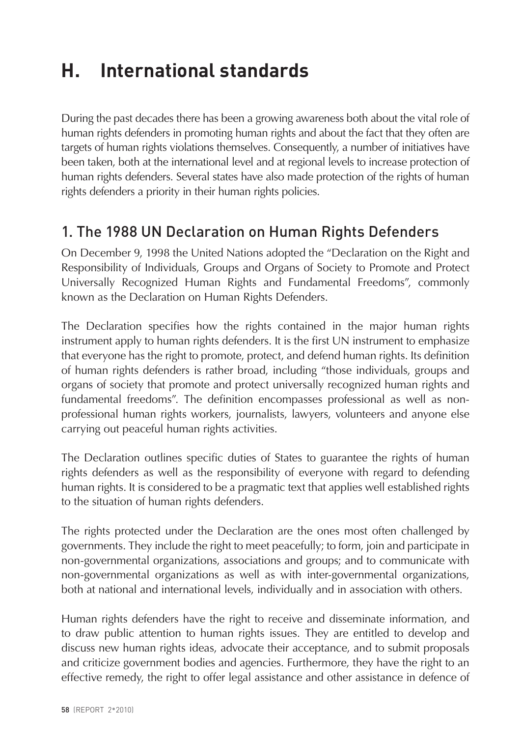# <span id="page-58-0"></span>**H. International standards**

During the past decades there has been a growing awareness both about the vital role of human rights defenders in promoting human rights and about the fact that they often are targets of human rights violations themselves. Consequently, a number of initiatives have been taken, both at the international level and at regional levels to increase protection of human rights defenders. Several states have also made protection of the rights of human rights defenders a priority in their human rights policies.

### 1. The 1988 UN Declaration on Human Rights Defenders

On December 9, 1998 the United Nations adopted the "Declaration on the Right and Responsibility of Individuals, Groups and Organs of Society to Promote and Protect Universally Recognized Human Rights and Fundamental Freedoms", commonly known as the Declaration on Human Rights Defenders.

The Declaration specifies how the rights contained in the major human rights instrument apply to human rights defenders. It is the first UN instrument to emphasize that everyone has the right to promote, protect, and defend human rights. Its definition of human rights defenders is rather broad, including "those individuals, groups and organs of society that promote and protect universally recognized human rights and fundamental freedoms". The definition encompasses professional as well as nonprofessional human rights workers, journalists, lawyers, volunteers and anyone else carrying out peaceful human rights activities.

The Declaration outlines specific duties of States to guarantee the rights of human rights defenders as well as the responsibility of everyone with regard to defending human rights. It is considered to be a pragmatic text that applies well established rights to the situation of human rights defenders.

The rights protected under the Declaration are the ones most often challenged by governments. They include the right to meet peacefully; to form, join and participate in non-governmental organizations, associations and groups; and to communicate with non-governmental organizations as well as with inter-governmental organizations, both at national and international levels, individually and in association with others.

Human rights defenders have the right to receive and disseminate information, and to draw public attention to human rights issues. They are entitled to develop and discuss new human rights ideas, advocate their acceptance, and to submit proposals and criticize government bodies and agencies. Furthermore, they have the right to an effective remedy, the right to offer legal assistance and other assistance in defence of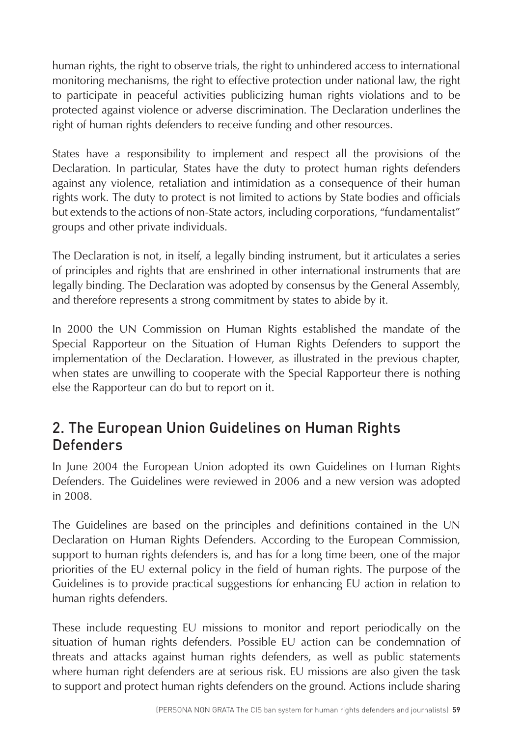<span id="page-59-0"></span>human rights, the right to observe trials, the right to unhindered access to international monitoring mechanisms, the right to effective protection under national law, the right to participate in peaceful activities publicizing human rights violations and to be protected against violence or adverse discrimination. The Declaration underlines the right of human rights defenders to receive funding and other resources.

States have a responsibility to implement and respect all the provisions of the Declaration. In particular, States have the duty to protect human rights defenders against any violence, retaliation and intimidation as a consequence of their human rights work. The duty to protect is not limited to actions by State bodies and officials but extends to the actions of non-State actors, including corporations, "fundamentalist" groups and other private individuals.

The Declaration is not, in itself, a legally binding instrument, but it articulates a series of principles and rights that are enshrined in other international instruments that are legally binding. The Declaration was adopted by consensus by the General Assembly, and therefore represents a strong commitment by states to abide by it.

In 2000 the UN Commission on Human Rights established the mandate of the Special Rapporteur on the Situation of Human Rights Defenders to support the implementation of the Declaration. However, as illustrated in the previous chapter, when states are unwilling to cooperate with the Special Rapporteur there is nothing else the Rapporteur can do but to report on it.

### 2. The European Union Guidelines on Human Rights **Defenders**

In June 2004 the European Union adopted its own Guidelines on Human Rights Defenders. The Guidelines were reviewed in 2006 and a new version was adopted in 2008.

The Guidelines are based on the principles and definitions contained in the UN Declaration on Human Rights Defenders. According to the European Commission, support to human rights defenders is, and has for a long time been, one of the major priorities of the EU external policy in the field of human rights. The purpose of the Guidelines is to provide practical suggestions for enhancing EU action in relation to human rights defenders.

These include requesting EU missions to monitor and report periodically on the situation of human rights defenders. Possible EU action can be condemnation of threats and attacks against human rights defenders, as well as public statements where human right defenders are at serious risk. EU missions are also given the task to support and protect human rights defenders on the ground. Actions include sharing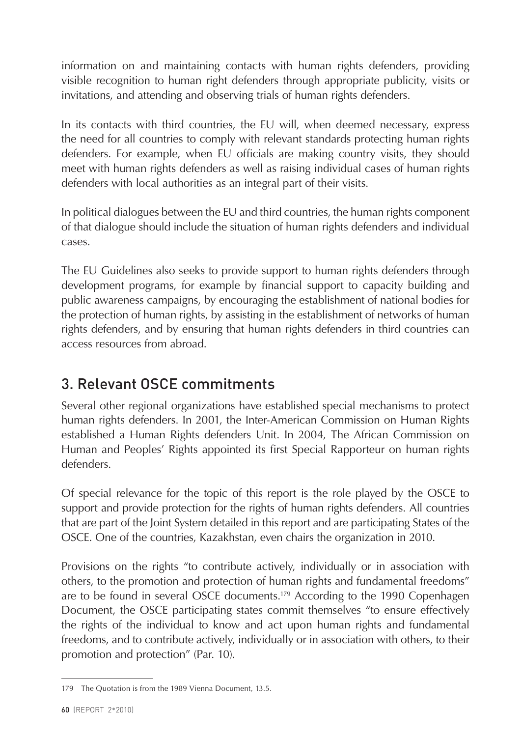<span id="page-60-0"></span>information on and maintaining contacts with human rights defenders, providing visible recognition to human right defenders through appropriate publicity, visits or invitations, and attending and observing trials of human rights defenders.

In its contacts with third countries, the EU will, when deemed necessary, express the need for all countries to comply with relevant standards protecting human rights defenders. For example, when EU officials are making country visits, they should meet with human rights defenders as well as raising individual cases of human rights defenders with local authorities as an integral part of their visits.

In political dialogues between the EU and third countries, the human rights component of that dialogue should include the situation of human rights defenders and individual cases.

The EU Guidelines also seeks to provide support to human rights defenders through development programs, for example by financial support to capacity building and public awareness campaigns, by encouraging the establishment of national bodies for the protection of human rights, by assisting in the establishment of networks of human rights defenders, and by ensuring that human rights defenders in third countries can access resources from abroad.

# 3. Relevant OSCE commitments

Several other regional organizations have established special mechanisms to protect human rights defenders. In 2001, the Inter-American Commission on Human Rights established a Human Rights defenders Unit. In 2004, The African Commission on Human and Peoples' Rights appointed its first Special Rapporteur on human rights defenders.

Of special relevance for the topic of this report is the role played by the OSCE to support and provide protection for the rights of human rights defenders. All countries that are part of the Joint System detailed in this report and are participating States of the OSCE. One of the countries, Kazakhstan, even chairs the organization in 2010.

Provisions on the rights "to contribute actively, individually or in association with others, to the promotion and protection of human rights and fundamental freedoms" are to be found in several OSCE documents.179 According to the 1990 Copenhagen Document, the OSCE participating states commit themselves "to ensure effectively the rights of the individual to know and act upon human rights and fundamental freedoms, and to contribute actively, individually or in association with others, to their promotion and protection" (Par. 10).

<sup>179</sup> The Quotation is from the 1989 Vienna Document, 13.5.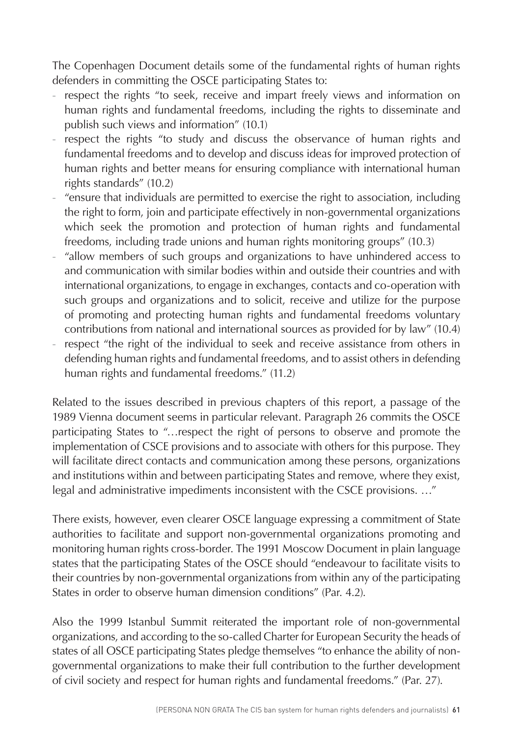The Copenhagen Document details some of the fundamental rights of human rights defenders in committing the OSCE participating States to:

- respect the rights "to seek, receive and impart freely views and information on human rights and fundamental freedoms, including the rights to disseminate and publish such views and information" (10.1)
- respect the rights "to study and discuss the observance of human rights and fundamental freedoms and to develop and discuss ideas for improved protection of human rights and better means for ensuring compliance with international human rights standards" (10.2)
- "ensure that individuals are permitted to exercise the right to association, including the right to form, join and participate effectively in non-governmental organizations which seek the promotion and protection of human rights and fundamental freedoms, including trade unions and human rights monitoring groups" (10.3)
- "allow members of such groups and organizations to have unhindered access to and communication with similar bodies within and outside their countries and with international organizations, to engage in exchanges, contacts and co-operation with such groups and organizations and to solicit, receive and utilize for the purpose of promoting and protecting human rights and fundamental freedoms voluntary contributions from national and international sources as provided for by law" (10.4)
- respect "the right of the individual to seek and receive assistance from others in defending human rights and fundamental freedoms, and to assist others in defending human rights and fundamental freedoms." (11.2)

Related to the issues described in previous chapters of this report, a passage of the 1989 Vienna document seems in particular relevant. Paragraph 26 commits the OSCE participating States to "…respect the right of persons to observe and promote the implementation of CSCE provisions and to associate with others for this purpose. They will facilitate direct contacts and communication among these persons, organizations and institutions within and between participating States and remove, where they exist, legal and administrative impediments inconsistent with the CSCE provisions. …"

There exists, however, even clearer OSCE language expressing a commitment of State authorities to facilitate and support non-governmental organizations promoting and monitoring human rights cross-border. The 1991 Moscow Document in plain language states that the participating States of the OSCE should "endeavour to facilitate visits to their countries by non-governmental organizations from within any of the participating States in order to observe human dimension conditions" (Par. 4.2).

Also the 1999 Istanbul Summit reiterated the important role of non-governmental organizations, and according to the so-called Charter for European Security the heads of states of all OSCE participating States pledge themselves "to enhance the ability of nongovernmental organizations to make their full contribution to the further development of civil society and respect for human rights and fundamental freedoms." (Par. 27).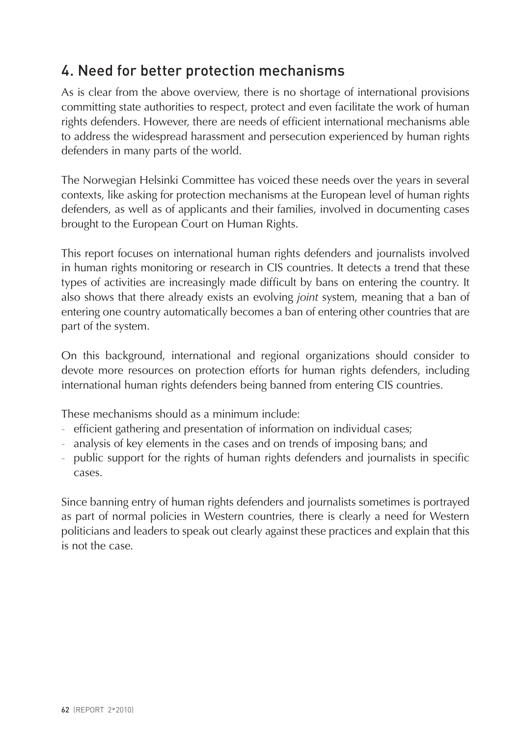# <span id="page-62-0"></span>4. Need for better protection mechanisms

As is clear from the above overview, there is no shortage of international provisions committing state authorities to respect, protect and even facilitate the work of human rights defenders. However, there are needs of efficient international mechanisms able to address the widespread harassment and persecution experienced by human rights defenders in many parts of the world.

The Norwegian Helsinki Committee has voiced these needs over the years in several contexts, like asking for protection mechanisms at the European level of human rights defenders, as well as of applicants and their families, involved in documenting cases brought to the European Court on Human Rights.

This report focuses on international human rights defenders and journalists involved in human rights monitoring or research in CIS countries. It detects a trend that these types of activities are increasingly made difficult by bans on entering the country. It also shows that there already exists an evolving *joint* system, meaning that a ban of entering one country automatically becomes a ban of entering other countries that are part of the system.

On this background, international and regional organizations should consider to devote more resources on protection efforts for human rights defenders, including international human rights defenders being banned from entering CIS countries.

These mechanisms should as a minimum include:

- efficient gathering and presentation of information on individual cases;
- analysis of key elements in the cases and on trends of imposing bans; and
- public support for the rights of human rights defenders and journalists in specific cases.

Since banning entry of human rights defenders and journalists sometimes is portrayed as part of normal policies in Western countries, there is clearly a need for Western politicians and leaders to speak out clearly against these practices and explain that this is not the case.